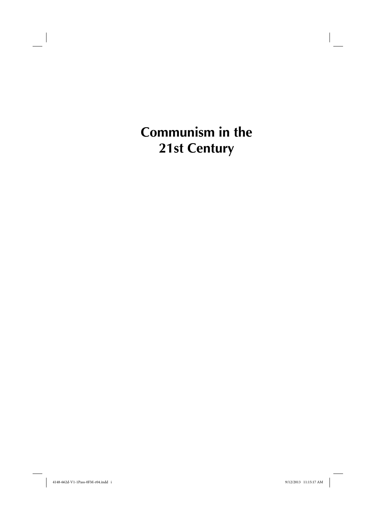**Communism in the 21st Century**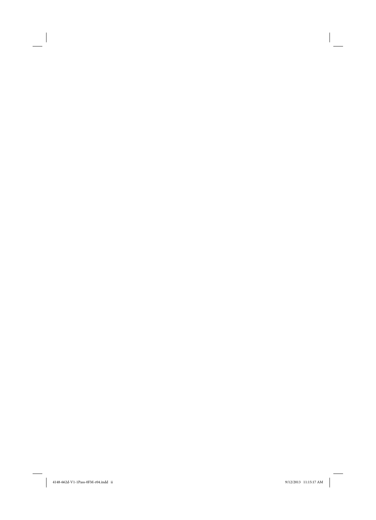$\overline{\phantom{a}}$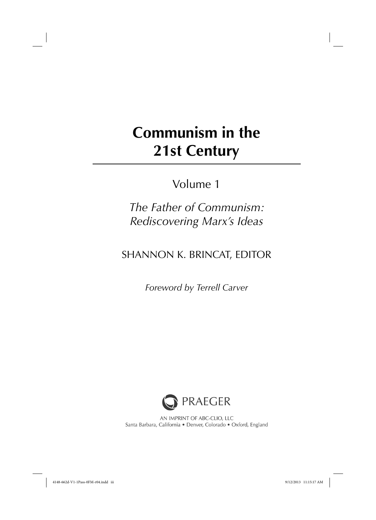# **Communism in the 21st Century**

Volume 1

*The Father of Communism: Rediscovering Marx's Ideas* 

### SHANNON K. BRINCAT, EDITOR

*Foreword by Terrell Carver* 



AN IMPRINT OF ABC-CLIO, LLC Santa Barbara, California · Denver, Colorado · Oxford, England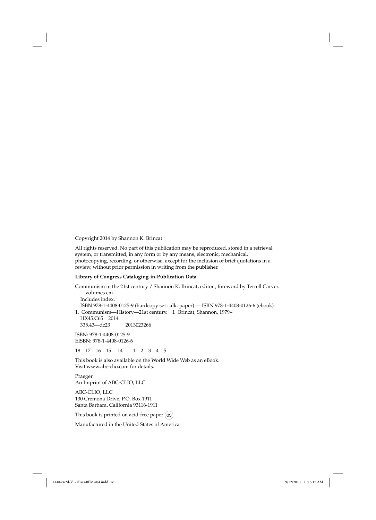Copyright 2014 by Shannon K. Brincat

 All rights reserved. No part of this publication may be reproduced, stored in a retrieval system, or transmitted, in any form or by any means, electronic, mechanical, photocopying, recording, or otherwise, except for the inclusion of brief quotations in a review, without prior permission in writing from the publisher.

#### **Library of Congress Cataloging-in-Publication Data**

 Communism in the 21st century / Shannon K. Brincat, editor ; foreword by Terrell Carver. volumes cm Includes index.

 ISBN 978-1-4408-0125-9 (hardcopy set : alk. paper) — ISBN 978-1-4408-0126-6 (ebook) 1. Communism—History—21st century. I. Brincat, Shannon, 1979– HX45.C65 2014

335.43—dc23 2013023266

 ISBN: 978-1-4408-0125-9 EISBN: 978-1-4408-0126-6

18 17 16 15 14 1 2 3 4 5

 This book is also available on the World Wide Web as an eBook. Visit www.abc-clio.com for details.

 Praeger An Imprint of ABC-CLIO, LLC

 ABC-CLIO, LLC 130 Cremona Drive, P.O. Box 1911 Santa Barbara, California 93116-1911

This book is printed on acid-free paper  $(\infty)$ 

Manufactured in the United States of America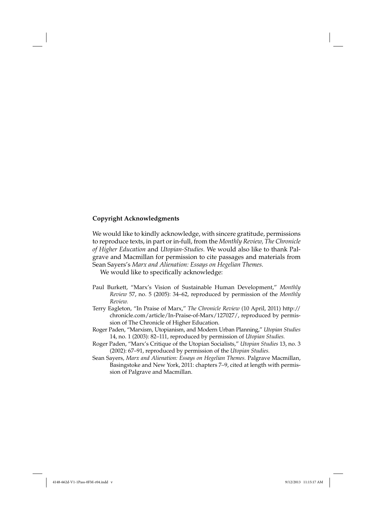#### **Copyright Acknowledgments**

 We would like to kindly acknowledge, with sincere gratitude, permissions to reproduce texts, in part or in-full, from the *Monthly Review, The Chronicle of Higher Education* and *Utopian-Studies.* We would also like to thank Palgrave and Macmillan for permission to cite passages and materials from Sean Sayers's *Marx and Alienation: Essays on Hegelian Themes.*

We would like to specifically acknowledge:

- Paul Burkett, "Marx's Vision of Sustainable Human Development," *Monthly Review* 57, no. 5 (2005): 34–62, reproduced by permission of the *Monthly Review.*
- Terry Eagleton, "In Praise of Marx," *The Chronicle Review* (10 April, 2011) http:// chronicle.com/article/In-Praise-of-Marx/127027/, reproduced by permission of The Chronicle of Higher Education.
- Roger Paden, "Marxism, Utopianism, and Modern Urban Planning," *Utopian Studies* 14, no. 1 (2003): 82–111, reproduced by permission of *Utopian Studies.*
- Roger Paden, "Marx's Critique of the Utopian Socialists," *Utopian Studies* 13, no. 3 (2002): 67–91, reproduced by permission of the *Utopian Studies.*
- Sean Sayers, *Marx and Alienation: Essays on Hegelian Themes.* Palgrave Macmillan, Basingstoke and New York, 2011: chapters 7–9, cited at length with permission of Palgrave and Macmillan.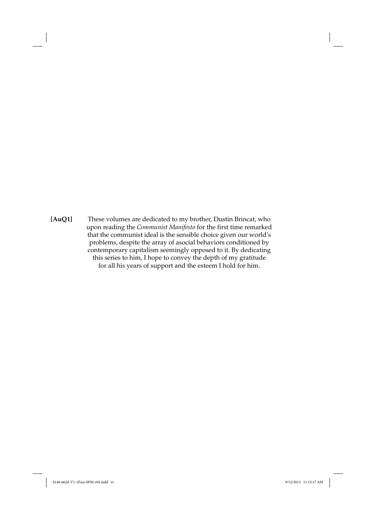These volumes are dedicated to my brother, Dustin Brincat, who upon reading the *Communist Manifesto* for the first time remarked that the communist ideal is the sensible choice given our world's problems, despite the array of asocial behaviors conditioned by contemporary capitalism seemingly opposed to it. By dedicating this series to him, I hope to convey the depth of my gratitude for all his years of support and the esteem I hold for him. **[AuQ1]**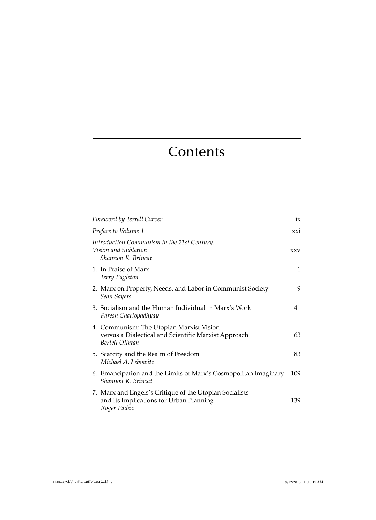## **Contents**

| Foreword by Terrell Carver                                                                                         | ix           |
|--------------------------------------------------------------------------------------------------------------------|--------------|
| Preface to Volume 1                                                                                                |              |
| Introduction Communism in the 21st Century:<br><i>Vision and Sublation</i><br>Shannon K. Brincat                   | <b>XXV</b>   |
| 1. In Praise of Marx<br>Terry Eagleton                                                                             | $\mathbf{1}$ |
| 2. Marx on Property, Needs, and Labor in Communist Society<br>Sean Sayers                                          | 9            |
| 3. Socialism and the Human Individual in Marx's Work<br>Paresh Chattopadhyay                                       | 41           |
| 4. Communism: The Utopian Marxist Vision<br>versus a Dialectical and Scientific Marxist Approach<br>Bertell Ollman | 63           |
| 5. Scarcity and the Realm of Freedom<br>Michael A. Lebowitz                                                        | 83           |
| 6. Emancipation and the Limits of Marx's Cosmopolitan Imaginary<br>Shannon K. Brincat                              | 109          |
| 7. Marx and Engels's Critique of the Utopian Socialists<br>and Its Implications for Urban Planning<br>Roger Paden  | 139          |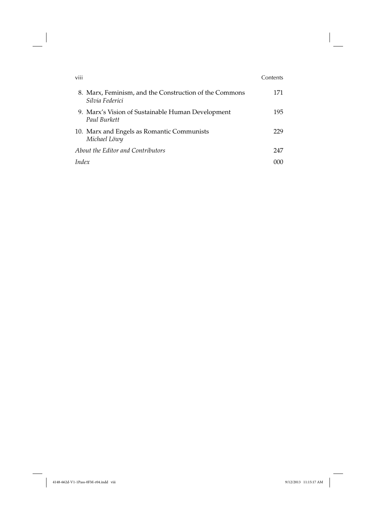| viii                              |                                                                           | Contents    |
|-----------------------------------|---------------------------------------------------------------------------|-------------|
|                                   | 8. Marx, Feminism, and the Construction of the Commons<br>Silvia Federici | 171         |
|                                   | 9. Marx's Vision of Sustainable Human Development<br>Paul Burkett         | 195         |
|                                   | 10. Marx and Engels as Romantic Communists<br>Michael Löwy                | 229         |
| About the Editor and Contributors |                                                                           | 247         |
| Index                             |                                                                           | ( ) ( ) ( ) |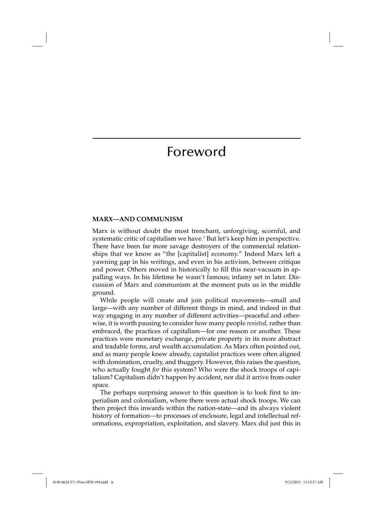## Foreword

#### **MARX—AND COMMUNISM**

 Marx is without doubt the most trenchant, unforgiving, scornful, and systematic critic of capitalism we have.<sup>1</sup> But let's keep him in perspective. There have been far more savage destroyers of the commercial relationships that we know as "the [capitalist] economy." Indeed Marx left a yawning gap in his writings, and even in his activism, between critique and power. Others moved in historically to fill this near-vacuum in appalling ways. In his lifetime he wasn't famous; infamy set in later. Discussion of Marx and communism at the moment puts us in the middle ground.

 While people will create and join political movements—small and large—with any number of different things in mind, and indeed in that way engaging in any number of different activities—peaceful and otherwise, it is worth pausing to consider how many people *resisted,* rather than embraced, the practices of capitalism—for one reason or another. These practices were monetary exchange, private property in its more abstract and tradable forms, and wealth accumulation. As Marx often pointed out, and as many people knew already, capitalist practices were often aligned with domination, cruelty, and thuggery. However, this raises the question, who actually fought *for* this system? Who were the shock troops of capitalism? Capitalism didn't happen by accident, nor did it arrive from outer space.

 The perhaps surprising answer to this question is to look first to imperialism and colonialism, where there were actual shock troops. We can then project this inwards within the nation-state—and its always violent history of formation—to processes of enclosure, legal and intellectual reformations, expropriation, exploitation, and slavery. Marx did just this in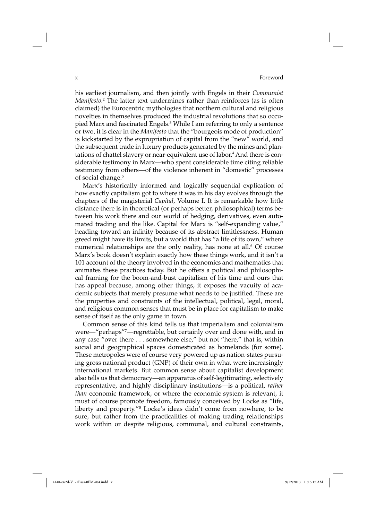#### **x** Foreword **Executive Contract of the Contract Contract Contract Contract Contract Contract Contract Contract Contract Contract Contract Contract Contract Contract Contract Contract Contract Contract Contract Contract Co**

his earliest journalism, and then jointly with Engels in their *Communist Manifesto.*<sup>2</sup> The latter text undermines rather than reinforces (as is often claimed) the Eurocentric mythologies that northern cultural and religious novelties in themselves produced the industrial revolutions that so occupied Marx and fascinated Engels.<sup>3</sup> While I am referring to only a sentence or two, it is clear in the *Manifesto* that the "bourgeois mode of production" is kickstarted by the expropriation of capital from the "new" world, and the subsequent trade in luxury products generated by the mines and plantations of chattel slavery or near-equivalent use of labor.<sup>4</sup> And there is considerable testimony in Marx—who spent considerable time citing reliable testimony from others—of the violence inherent in "domestic" processes of social change.<sup>5</sup>

 Marx's historically informed and logically sequential explication of how exactly capitalism got to where it was in his day evolves through the chapters of the magisterial *Capital,* Volume I. It is remarkable how little distance there is in theoretical (or perhaps better, philosophical) terms between his work there and our world of hedging, derivatives, even automated trading and the like. Capital for Marx is "self-expanding value," heading toward an infinity because of its abstract limitlessness. Human greed might have its limits, but a world that has "a life of its own," where numerical relationships are the only reality, has none at all.<sup>6</sup> Of course Marx's book doesn't explain exactly how these things work, and it isn't a 101 account of the theory involved in the economics and mathematics that animates these practices today. But he offers a political and philosophical framing for the boom-and-bust capitalism of his time and ours that has appeal because, among other things, it exposes the vacuity of academic subjects that merely presume what needs to be justified. These are the properties and constraints of the intellectual, political, legal, moral, and religious common senses that must be in place for capitalism to make sense of itself as the only game in town.

 Common sense of this kind tells us that imperialism and colonialism were—"perhaps"<sup>7</sup>—regrettable, but certainly over and done with, and in any case "over there . . . somewhere else," but not "here," that is, within social and geographical spaces domesticated as homelands (for some). These metropoles were of course very powered up as nation-states pursuing gross national product (GNP) of their own in what were increasingly international markets. But common sense about capitalist development also tells us that democracy—an apparatus of self-legitimating, selectively representative, and highly disciplinary institutions—is a political, *rather than* economic framework, or where the economic system is relevant, it must of course promote freedom, famously conceived by Locke as "life, liberty and property."<sup>8</sup> Locke's ideas didn't come from nowhere, to be sure, but rather from the practicalities of making trading relationships work within or despite religious, communal, and cultural constraints,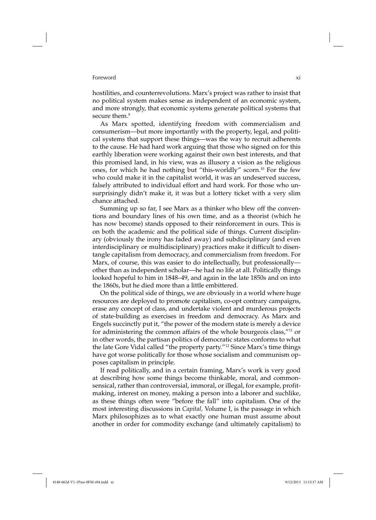#### Foreword xi

hostilities, and counterrevolutions. Marx's project was rather to insist that no political system makes sense as independent of an economic system, and more strongly, that economic systems generate political systems that secure them.<sup>9</sup>

 As Marx spotted, identifying freedom with commercialism and consumerism—but more importantly with the property, legal, and political systems that support these things—was the way to recruit adherents to the cause. He had hard work arguing that those who signed on for this earthly liberation were working against their own best interests, and that this promised land, in his view, was as illusory a vision as the religious ones, for which he had nothing but "this-worldly" scorn.<sup>10</sup> For the few who could make it in the capitalist world, it was an undeserved success, falsely attributed to individual effort and hard work. For those who unsurprisingly didn't make it, it was but a lottery ticket with a very slim chance attached.

 Summing up so far, I see Marx as a thinker who blew off the conventions and boundary lines of his own time, and as a theorist (which he has now become) stands opposed to their reinforcement in ours. This is on both the academic and the political side of things. Current disciplinary (obviously the irony has faded away) and subdisciplinary (and even interdisciplinary or multidisciplinary) practices make it difficult to disentangle capitalism from democracy, and commercialism from freedom. For Marx, of course, this was easier to do intellectually, but professionally other than as independent scholar—he had no life at all. Politically things looked hopeful to him in 1848–49, and again in the late 1850s and on into the 1860s, but he died more than a little embittered.

 On the political side of things, we are obviously in a world where huge resources are deployed to promote capitalism, co-opt contrary campaigns, erase any concept of class, and undertake violent and murderous projects of state-building as exercises in freedom and democracy. As Marx and Engels succinctly put it, "the power of the modern state is merely a device for administering the common affairs of the whole bourgeois class,"<sup>11</sup> or in other words, the partisan politics of democratic states conforms to what the late Gore Vidal called "the property party." 12 Since Marx's time things have got worse politically for those whose socialism and communism opposes capitalism in principle.

 If read politically, and in a certain framing, Marx's work is very good at describing how some things become thinkable, moral, and commonsensical, rather than controversial, immoral, or illegal, for example, profitmaking, interest on money, making a person into a laborer and suchlike, as these things often were "before the fall" into capitalism. One of the most interesting discussions in *Capital,* Volume I, is the passage in which Marx philosophizes as to what exactly one human must assume about another in order for commodity exchange (and ultimately capitalism) to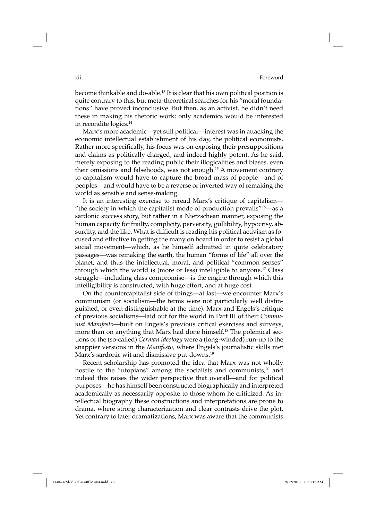#### xii Foreword

become thinkable and do-able. 13 It is clear that his own political position is quite contrary to this, but meta-theoretical searches for his "moral foundations" have proved inconclusive. But then, as an activist, he didn't need these in making his rhetoric work; only academics would be interested in recondite logics. 14

 Marx's more academic—yet still political—interest was in attacking the economic intellectual establishment of his day, the political economists. Rather more specifically, his focus was on exposing their presuppositions and claims as politically charged, and indeed highly potent. As he said, merely exposing to the reading public their illogicalities and biases, even their omissions and falsehoods, was not enough.<sup>15</sup> A movement contrary to capitalism would have to capture the broad mass of people—and of peoples—and would have to be a reverse or inverted way of remaking the world as sensible and sense-making.

 It is an interesting exercise to reread Marx's critique of capitalism— "the society in which the capitalist mode of production prevails"<sup>16</sup>-as a sardonic success story, but rather in a Nietzschean manner, exposing the human capacity for frailty, complicity, perversity, gullibility, hypocrisy, absurdity, and the like. What is difficult is reading his political activism as focused and effective in getting the many on board in order to resist a global social movement—which, as he himself admitted in quite celebratory passages—was remaking the earth, the human "forms of life" all over the planet, and thus the intellectual, moral, and political "common senses" through which the world is (more or less) intelligible to anyone.<sup>17</sup> Class struggle—including class compromise—is the engine through which this intelligibility is constructed, with huge effort, and at huge cost.

 On the countercapitalist side of things—at last—we encounter Marx's communism (or socialism—the terms were not particularly well distinguished, or even distinguishable at the time). Marx and Engels's critique of previous socialisms—laid out for the world in Part III of their *Communist Manifesto* —built on Engels's previous critical exercises and surveys, more than on anything that Marx had done himself. 18 The polemical sections of the (so-called ) *German Ideology* were a (long-winded) run-up to the snappier versions in the *Manifesto,* where Engels's journalistic skills met Marx's sardonic wit and dismissive put-downs.<sup>19</sup>

 Recent scholarship has promoted the idea that Marx was not wholly hostile to the "utopians" among the socialists and communists, $20$  and indeed this raises the wider perspective that overall—and for political purposes—he has himself been constructed biographically and interpreted academically as necessarily opposite to those whom he criticized. As intellectual biography these constructions and interpretations are prone to drama, where strong characterization and clear contrasts drive the plot. Yet contrary to later dramatizations, Marx was aware that the communists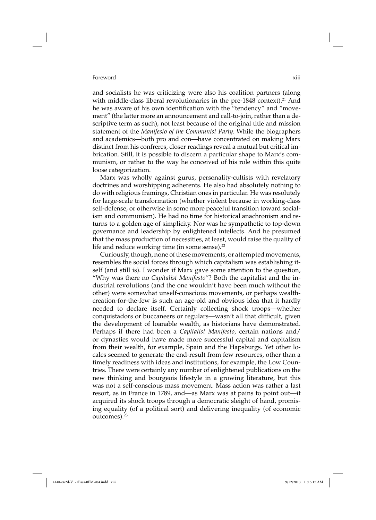#### Foreword xiii

and socialists he was criticizing were also his coalition partners (along with middle-class liberal revolutionaries in the pre-1848 context).<sup>21</sup> And he was aware of his own identification with the "tendency" and "movement" (the latter more an announcement and call-to-join, rather than a descriptive term as such), not least because of the original title and mission statement of the *Manifesto of the Communist Party.* While the biographers and academics—both pro and con—have concentrated on making Marx distinct from his confreres, closer readings reveal a mutual but critical imbrication. Still, it is possible to discern a particular shape to Marx's communism, or rather to the way he conceived of his role within this quite loose categorization.

 Marx was wholly against gurus, personality-cultists with revelatory doctrines and worshipping adherents. He also had absolutely nothing to do with religious framings, Christian ones in particular. He was resolutely for large-scale transformation (whether violent because in working-class self-defense, or otherwise in some more peaceful transition toward socialism and communism). He had no time for historical anachronism and returns to a golden age of simplicity. Nor was he sympathetic to top-down governance and leadership by enlightened intellects. And he presumed that the mass production of necessities, at least, would raise the quality of life and reduce working time (in some sense).<sup>22</sup>

 Curiously, though, none of these movements, or attempted movements, resembles the social forces through which capitalism was establishing itself (and still is). I wonder if Marx gave some attention to the question, "Why was there no *Capitalist Manifesto"*? Both the capitalist and the industrial revolutions (and the one wouldn't have been much without the other) were somewhat unself-conscious movements, or perhaps wealthcreation-for-the-few is such an age-old and obvious idea that it hardly needed to declare itself. Certainly collecting shock troops—whether conquistadors or buccaneers or regulars—wasn't all that difficult, given the development of loanable wealth, as historians have demonstrated. Perhaps if there had been a *Capitalist Manifesto,* certain nations and/ or dynasties would have made more successful capital and capitalism from their wealth, for example, Spain and the Hapsburgs. Yet other locales seemed to generate the end-result from few resources, other than a timely readiness with ideas and institutions, for example, the Low Countries. There were certainly any number of enlightened publications on the new thinking and bourgeois lifestyle in a growing literature, but this was not a self-conscious mass movement. Mass action was rather a last resort, as in France in 1789, and—as Marx was at pains to point out—it acquired its shock troops through a democratic sleight of hand, promising equality (of a political sort) and delivering inequality (of economic outcomes).<sup>23</sup>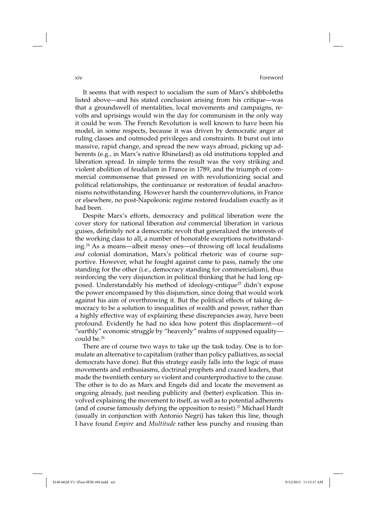#### xiv **Foreword**

 It seems that with respect to socialism the sum of Marx's shibboleths listed above—and his stated conclusion arising from his critique—was that a groundswell of mentalities, local movements and campaigns, revolts and uprisings would win the day for communism in the only way it could be won. The French Revolution is well known to have been his model, in some respects, because it was driven by democratic anger at ruling classes and outmoded privileges and constraints. It burst out into massive, rapid change, and spread the new ways abroad, picking up adherents (e.g., in Marx's native Rhineland) as old institutions toppled and liberation spread. In simple terms the result was the very striking and violent abolition of feudalism in France in 1789, and the triumph of commercial commonsense that pressed on with revolutionizing social and political relationships, the continuance or restoration of feudal anachronisms notwithstanding. However harsh the counterrevolutions, in France or elsewhere, no post-Napoleonic regime restored feudalism exactly as it had been.

 Despite Marx's efforts, democracy and political liberation were the cover story for national liberation *and* commercial liberation in various guises, definitely not a democratic revolt that generalized the interests of the working class to all, a number of honorable exceptions notwithstanding. 24 As a means—albeit messy ones—of throwing off local feudalisms *and* colonial domination, Marx's political rhetoric was of course supportive. However, what he fought against came to pass, namely the one standing for the other (i.e., democracy standing for commercialism), thus reinforcing the very disjunction in political thinking that he had long opposed. Understandably his method of ideology-critique<sup>25</sup> didn't expose the power encompassed by this disjunction, since doing that would work against his aim of overthrowing it. But the political effects of taking democracy to be a solution to inequalities of wealth and power, rather than a highly effective way of explaining these discrepancies away, have been profound. Evidently he had no idea how potent this displacement—of "earthly" economic struggle by "heavenly" realms of supposed equalitycould be.<sup>26</sup>

 There are of course two ways to take up the task today. One is to formulate an alternative to capitalism (rather than policy palliatives, as social democrats have done). But this strategy easily falls into the logic of mass movements and enthusiasms, doctrinal prophets and crazed leaders, that made the twentieth century so violent and counterproductive to the cause. The other is to do as Marx and Engels did and locate the movement as ongoing already, just needing publicity and (better) explication. This involved explaining the movement to itself, as well as to potential adherents (and of course famously defying the opposition to resist).<sup>27</sup> Michael Hardt (usually in conjunction with Antonio Negri) has taken this line, though I have found *Empire* and *Multitude* rather less punchy and rousing than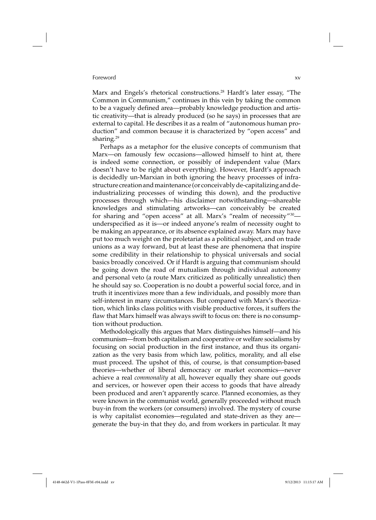#### Foreword xv

Marx and Engels's rhetorical constructions.<sup>28</sup> Hardt's later essay, "The Common in Communism," continues in this vein by taking the common to be a vaguely defined area—probably knowledge production and artistic creativity—that is already produced (so he says) in processes that are external to capital. He describes it as a realm of "autonomous human production" and common because it is characterized by "open access" and sharing.<sup>29</sup>

 Perhaps as a metaphor for the elusive concepts of communism that Marx—on famously few occasions—allowed himself to hint at, there is indeed some connection, or possibly of independent value (Marx doesn't have to be right about everything). However, Hardt's approach is decidedly un-Marxian in both ignoring the heavy processes of infrastructure creation and maintenance (or conceivably de-capitalizing and deindustrializing processes of winding this down), and the productive processes through which—his disclaimer notwithstanding—shareable knowledges and stimulating artworks—can conceivably be created for sharing and "open access" at all. Marx's "realm of necessity"<sup>30</sup> underspecified as it is—or indeed anyone's realm of necessity ought to be making an appearance, or its absence explained away. Marx may have put too much weight on the proletariat as a political subject, and on trade unions as a way forward, but at least these are phenomena that inspire some credibility in their relationship to physical universals and social basics broadly conceived. Or if Hardt is arguing that communism should be going down the road of mutualism through individual autonomy and personal veto (a route Marx criticized as politically unrealistic) then he should say so. Cooperation is no doubt a powerful social force, and in truth it incentivizes more than a few individuals, and possibly more than self-interest in many circumstances. But compared with Marx's theorization, which links class politics with visible productive forces, it suffers the flaw that Marx himself was always swift to focus on: there is no consumption without production.

 Methodologically this argues that Marx distinguishes himself—and his communism—from both capitalism and cooperative or welfare socialisms by focusing on social production in the first instance, and thus its organization as the very basis from which law, politics, morality, and all else must proceed. The upshot of this, of course, is that consumption-based theories—whether of liberal democracy or market economics—never achieve a real *commonality* at all, however equally they share out goods and services, or however open their access to goods that have already been produced and aren't apparently scarce. Planned economies, as they were known in the communist world, generally proceeded without much buy-in from the workers (or consumers) involved. The mystery of course is why capitalist economies—regulated and state-driven as they are generate the buy-in that they do, and from workers in particular. It may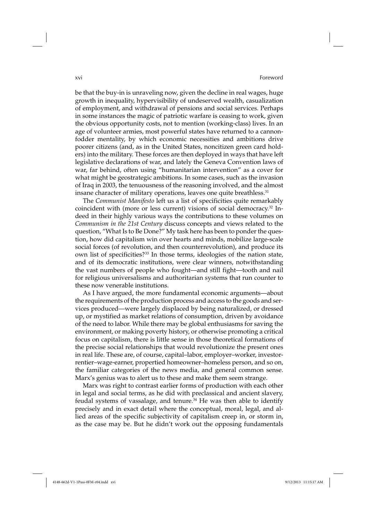#### xvi Foreword

be that the buy-in is unraveling now, given the decline in real wages, huge growth in inequality, hypervisibility of undeserved wealth, casualization of employment, and withdrawal of pensions and social services. Perhaps in some instances the magic of patriotic warfare is ceasing to work, given the obvious opportunity costs, not to mention (working-class) lives. In an age of volunteer armies, most powerful states have returned to a cannonfodder mentality, by which economic necessities and ambitions drive poorer citizens (and, as in the United States, noncitizen green card holders) into the military. These forces are then deployed in ways that have left legislative declarations of war, and lately the Geneva Convention laws of war, far behind, often using "humanitarian intervention" as a cover for what might be geostrategic ambitions. In some cases, such as the invasion of Iraq in 2003, the tenuousness of the reasoning involved, and the almost insane character of military operations, leaves one quite breathless. 31

 The *Communist Manifesto* left us a list of specificities quite remarkably coincident with (more or less current) visions of social democracy.<sup>32</sup> Indeed in their highly various ways the contributions to these volumes on *Communism in the 21st Century* discuss concepts and views related to the question, "What Is to Be Done?" My task here has been to ponder the question, how did capitalism win over hearts and minds, mobilize large-scale social forces (of revolution, and then counterrevolution), and produce its own list of specificities?<sup>33</sup> In those terms, ideologies of the nation state, and of its democratic institutions, were clear winners, notwithstanding the vast numbers of people who fought—and still fight—tooth and nail for religious universalisms and authoritarian systems that run counter to these now venerable institutions.

 As I have argued, the more fundamental economic arguments—about the requirements of the production process and access to the goods and services produced—were largely displaced by being naturalized, or dressed up, or mystified as market relations of consumption, driven by avoidance of the need to labor. While there may be global enthusiasms for saving the environment, or making poverty history, or otherwise promoting a critical focus on capitalism, there is little sense in those theoretical formations of the precise social relationships that would revolutionize the present ones in real life. These are, of course, capital–labor, employer–worker, investorrentier–wage-earner, propertied homeowner–homeless person, and so on, the familiar categories of the news media, and general common sense. Marx's genius was to alert us to these and make them seem strange.

 Marx was right to contrast earlier forms of production with each other in legal and social terms, as he did with preclassical and ancient slavery, feudal systems of vassalage, and tenure.<sup>34</sup> He was then able to identify precisely and in exact detail where the conceptual, moral, legal, and allied areas of the specific subjectivity of capitalism creep in, or storm in, as the case may be. But he didn't work out the opposing fundamentals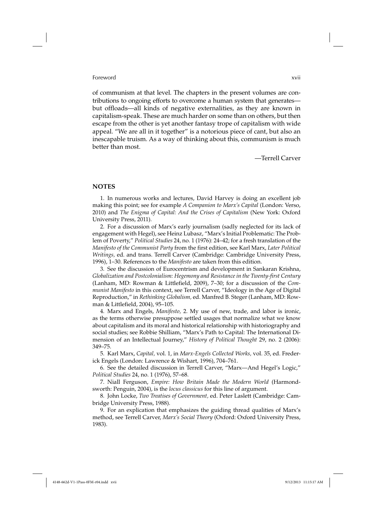#### Foreword xvii

of communism at that level. The chapters in the present volumes are contributions to ongoing efforts to overcome a human system that generates but offloads—all kinds of negative externalities, as they are known in capitalism-speak. These are much harder on some than on others, but then escape from the other is yet another fantasy trope of capitalism with wide appeal. "We are all in it together" is a notorious piece of cant, but also an inescapable truism. As a way of thinking about this, communism is much better than most.

—Terrell Carver

#### **NOTES**

 1 . In numerous works and lectures, David Harvey is doing an excellent job making this point; see for example *A Companion to Marx's Capital* (London: Verso, 2010) and *The Enigma of Capital: And the Crises of Capitalism* (New York: Oxford University Press, 2011).

 2 . For a discussion of Marx's early journalism (sadly neglected for its lack of engagement with Hegel), see Heinz Lubasz, "Marx's Initial Problematic: The Problem of Poverty," *Political Studies* 24, no. 1 (1976): 24–42; for a fresh translation of the *Manifesto of the Communist Party* from the first edition, see Karl Marx, *Later Political Writings,* ed. and trans. Terrell Carver (Cambridge: Cambridge University Press, 1996), 1–30. References to the *Manifesto* are taken from this edition.

 3 . See the discussion of Eurocentrism and development in Sankaran Krishna, *Globalization and Postcolonialism: Hegemony and Resistance in the Twenty-first Century* (Lanham, MD: Rowman & Littlefield, 2009), 7–30; for a discussion of the *Communist Manifesto* in this context, see Terrell Carver, "Ideology in the Age of Digital Reproduction," in *Rethinking Globalism,* ed. Manfred B. Steger (Lanham, MD: Rowman & Littlefield, 2004), 95–105.

 4 . Marx and Engels, *Manifesto,* 2. My use of new, trade, and labor is ironic, as the terms otherwise presuppose settled usages that normalize what we know about capitalism and its moral and historical relationship with historiography and social studies; see Robbie Shilliam, "Marx's Path to Capital: The International Dimension of an Intellectual Journey," *History of Political Thought* 29, no. 2 (2006): 349–75.

 5 . Karl Marx, *Capital,* vol. 1, in *Marx-Engels Collected Works,* vol. 35, ed. Frederick Engels (London: Lawrence & Wishart, 1996), 704–761.

 6 . See the detailed discussion in Terrell Carver, "Marx—And Hegel's Logic," *Political Studies* 24, no. 1 (1976), 57–68.

 7 . Niall Ferguson, *Empire: How Britain Made the Modern World* (Harmondsworth: Penguin, 2004), is the *locus classicus* for this line of argument.

 8 . John Locke, *Two Treatises of Government,* ed. Peter Laslett (Cambridge: Cambridge University Press, 1988).

 9 . For an explication that emphasizes the guiding thread qualities of Marx's method, see Terrell Carver, *Marx's Social Theory* (Oxford: Oxford University Press, 1983).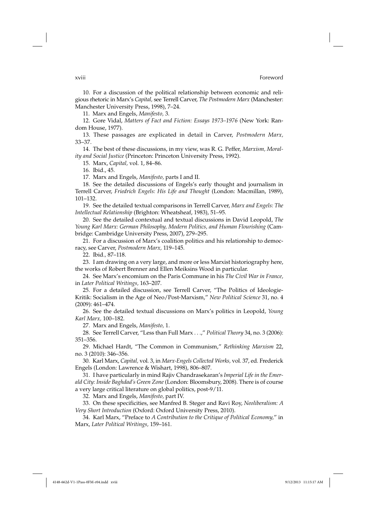#### xviii Foreword and the second second second second second second second second second second second second second

 10 . For a discussion of the political relationship between economic and religious rhetoric in Marx's *Capital,* see Terrell Carver, *The Postmodern Marx* (Manchester: Manchester University Press, 1998), 7–24.

11 . Marx and Engels, *Manifesto,* 3.

 12 . Gore Vidal, *Matters of Fact and Fiction: Essays 1973–1976* (New York: Random House, 1977).

 13 . These passages are explicated in detail in Carver, *Postmodern Marx,* 33–37.

 14 . The best of these discussions, in my view, was R. G. Peffer, *Marxism, Morality and Social Justice* (Princeton: Princeton University Press, 1992).

15 . Marx, *Capital,* vol. 1, 84–86.

16. Ibid., 45.

17 . Marx and Engels, *Manifesto,* parts I and II.

 18 . See the detailed discussions of Engels's early thought and journalism in Terrell Carver, *Friedrich Engels: His Life and Thought* (London: Macmillan, 1989), 101–132.

 19 . See the detailed textual comparisons in Terrell Carver, *Marx and Engels: The Intellectual Relationship* (Brighton: Wheatsheaf, 1983), 51–95.

 20 . See the detailed contextual and textual discussions in David Leopold, *The Young Karl Marx: German Philosophy, Modern Politics, and Human Flourishing* (Cambridge: Cambridge University Press, 2007), 279–295.

21. For a discussion of Marx's coalition politics and his relationship to democracy, see Carver, *Postmodern Marx,* 119–145.

22 . Ibid. *,* 87–118.

 23 . I am drawing on a very large, and more or less Marxist historiography here, the works of Robert Brenner and Ellen Meiksins Wood in particular.

 24 . See Marx's encomium on the Paris Commune in his *The Civil War in France,* in *Later Political Writings,* 163–207.

 25 . For a detailed discussion, see Terrell Carver, "The Politics of Ideologie-Kritik: Socialism in the Age of Neo/Post-Marxism," *New Political Science* 31, no. 4 (2009): 461–474.

 26 . See the detailed textual discussions on Marx's politics in Leopold, *Young Karl Marx,* 100–182.

27 . Marx and Engels, *Manifesto,* 1.

 28 . See Terrell Carver, "Less than Full Marx . . .," *Political Theory* 34, no. 3 (2006): 351–356.

 29 . Michael Hardt, "The Common in Communism," *Rethinking Marxism* 22, no. 3 (2010): 346–356.

 30 . Karl Marx, *Capital,* vol. 3, in *Marx-Engels Collected Works,* vol. 37, ed. Frederick Engels (London: Lawrence & Wishart, 1998), 806–807.

 31 . I have particularly in mind Rajiv Chandrasekaran's *Imperial Life in the Emerald City: Inside Baghdad's Green Zone* (London: Bloomsbury, 2008). There is of course a very large critical literature on global politics, post-9/11.

32 . Marx and Engels, *Manifesto,* part IV.

 33 . On these specificities, see Manfred B. Steger and Ravi Roy, *Neoliberalism: A Very Short Introduction* (Oxford: Oxford University Press, 2010).

 34 . Karl Marx, "Preface to *A Contribution to the Critique of Political Economy,* " in Marx, *Later Political Writings,* 159–161.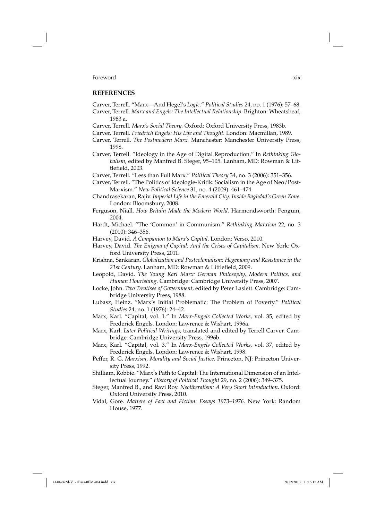Foreword xix

#### **REFERENCES**

Carver, Terrell. "Marx—And Hegel's *Logic.* " *Political Studies* 24, no. 1 (1976): 57–68.

- Carver, Terrell. *Marx and Engels: The Intellectual Relationship.* Brighton: Wheatsheaf, 1983 a.
- Carver, Terrell. *Marx's Social Theory.* Oxford: Oxford University Press, 1983b.
- Carver, Terrell. *Friedrich Engels: His Life and Thought.* London: Macmillan, 1989.
- Carver, Terrell. *The Postmodern Marx.* Manchester: Manchester University Press, 1998.
- Carver, Terrell. "Ideology in the Age of Digital Reproduction." In *Rethinking Globalism,* edited by Manfred B. Steger, 95–105. Lanham, MD: Rowman & Littlefield, 2003.
- Carver, Terrell. "Less than Full Marx." *Political Theory* 34, no. 3 (2006): 351–356.
- Carver, Terrell. "The Politics of Ideologie-Kritik: Socialism in the Age of Neo/Post-Marxism." *New Political Science* 31, no. 4 (2009): 461–474.
- Chandrasekaran, Rajiv. *Imperial Life in the Emerald City: Inside Baghdad's Green Zone.* London: Bloomsbury, 2008.
- Ferguson, Niall. *How Britain Made the Modern World.* Harmondsworth: Penguin, 2004.
- Hardt, Michael. "The 'Common' in Communism." *Rethinking Marxism* 22, no. 3 (2010): 346–356.
- Harvey, David. *A Companion to Marx's Capital.* London: Verso, 2010.
- Harvey, David. *The Enigma of Capital: And the Crises of Capitalism.* New York: Oxford University Press, 2011.
- Krishna, Sankaran. *Globalization and Postcolonialism: Hegemony and Resistance in the 21st Century.* Lanham, MD: Rowman & Littlefield, 2009.
- Leopold, David. *The Young Karl Marx: German Philosophy, Modern Politics, and Human Flourishing.* Cambridge: Cambridge University Press, 2007.
- Locke, John. *Two Treatises of Government,* edited by Peter Laslett. Cambridge: Cambridge University Press, 1988.
- Lubasz, Heinz. "Marx's Initial Problematic: The Problem of Poverty." *Political Studies* 24, no. 1 (1976): 24–42.
- Marx, Karl. "Capital, vol. 1." In *Marx-Engels Collected Works,* vol. 35, edited by Frederick Engels. London: Lawrence & Wishart, 1996a.
- Marx, Karl. *Later Political Writings,* translated and edited by Terrell Carver. Cambridge: Cambridge University Press, 1996b.
- Marx, Karl. "Capital, vol. 3." In *Marx-Engels Collected Works,* vol. 37, edited by Frederick Engels. London: Lawrence & Wishart, 1998.
- Peffer, R. G. *Marxism, Morality and Social Justice.* Princeton, NJ: Princeton University Press, 1992.
- Shilliam, Robbie. "Marx's Path to Capital: The International Dimension of an Intellectual Journey." *History of Political Thought* 29, no. 2 (2006): 349–375.
- Steger, Manfred B., and Ravi Roy. *Neoliberalism: A Very Short Introduction.* Oxford: Oxford University Press, 2010.
- Vidal, Gore. *Matters of Fact and Fiction: Essays 1973–1976.* New York: Random House, 1977.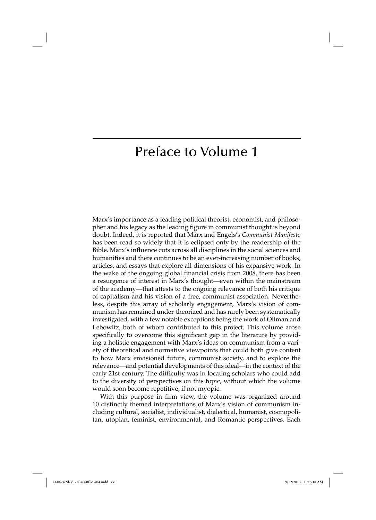## Preface to Volume 1

 Marx's importance as a leading political theorist, economist, and philosopher and his legacy as the leading figure in communist thought is beyond doubt. Indeed, it is reported that Marx and Engels's *Communist Manifesto* has been read so widely that it is eclipsed only by the readership of the Bible. Marx's influence cuts across all disciplines in the social sciences and humanities and there continues to be an ever-increasing number of books, articles, and essays that explore all dimensions of his expansive work. In the wake of the ongoing global financial crisis from 2008, there has been a resurgence of interest in Marx's thought—even within the mainstream of the academy—that attests to the ongoing relevance of both his critique of capitalism and his vision of a free, communist association. Nevertheless, despite this array of scholarly engagement, Marx's vision of communism has remained under-theorized and has rarely been systematically investigated, with a few notable exceptions being the work of Ollman and Lebowitz, both of whom contributed to this project. This volume arose specifically to overcome this significant gap in the literature by providing a holistic engagement with Marx's ideas on communism from a variety of theoretical and normative viewpoints that could both give content to how Marx envisioned future, communist society, and to explore the relevance—and potential developments of this ideal—in the context of the early 21st century. The difficulty was in locating scholars who could add to the diversity of perspectives on this topic, without which the volume would soon become repetitive, if not myopic.

 With this purpose in firm view, the volume was organized around 10 distinctly themed interpretations of Marx's vision of communism including cultural, socialist, individualist, dialectical, humanist, cosmopolitan, utopian, feminist, environmental, and Romantic perspectives. Each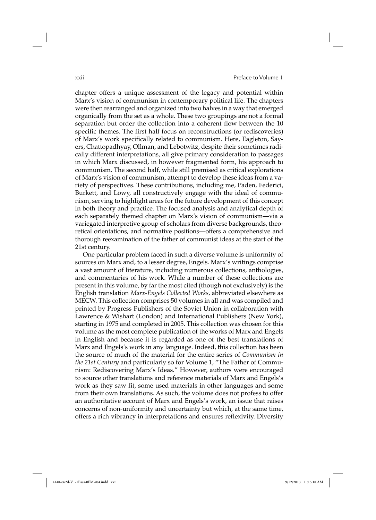#### xxii Preface to Volume 1

chapter offers a unique assessment of the legacy and potential within Marx's vision of communism in contemporary political life. The chapters were then rearranged and organized into two halves in a way that emerged organically from the set as a whole. These two groupings are not a formal separation but order the collection into a coherent flow between the 10 specific themes. The first half focus on reconstructions (or rediscoveries) of Marx's work specifically related to communism. Here, Eagleton, Sayers, Chattopadhyay, Ollman, and Lebotwitz, despite their sometimes radically different interpretations, all give primary consideration to passages in which Marx discussed, in however fragmented form, his approach to communism. The second half, while still premised as critical explorations of Marx's vision of communism, attempt to develop these ideas from a variety of perspectives. These contributions, including me, Paden, Federici, Burkett, and Löwy, all constructively engage with the ideal of communism, serving to highlight areas for the future development of this concept in both theory and practice. The focused analysis and analytical depth of each separately themed chapter on Marx's vision of communism—via a variegated interpretive group of scholars from diverse backgrounds, theoretical orientations, and normative positions—offers a comprehensive and thorough reexamination of the father of communist ideas at the start of the 21st century.

 One particular problem faced in such a diverse volume is uniformity of sources on Marx and, to a lesser degree, Engels. Marx's writings comprise a vast amount of literature, including numerous collections, anthologies, and commentaries of his work. While a number of these collections are present in this volume, by far the most cited (though not exclusively) is the English translation *Marx-Engels Collected Works,* abbreviated elsewhere as MECW. This collection comprises 50 volumes in all and was compiled and printed by Progress Publishers of the Soviet Union in collaboration with Lawrence & Wishart (London) and International Publishers (New York), starting in 1975 and completed in 2005. This collection was chosen for this volume as the most complete publication of the works of Marx and Engels in English and because it is regarded as one of the best translations of Marx and Engels's work in any language. Indeed, this collection has been the source of much of the material for the entire series of *Communism in the 21st Century* and particularly so for Volume 1, "The Father of Communism: Rediscovering Marx's Ideas." However, authors were encouraged to source other translations and reference materials of Marx and Engels's work as they saw fit, some used materials in other languages and some from their own translations. As such, the volume does not profess to offer an authoritative account of Marx and Engels's work, an issue that raises concerns of non-uniformity and uncertainty but which, at the same time, offers a rich vibrancy in interpretations and ensures reflexivity. Diversity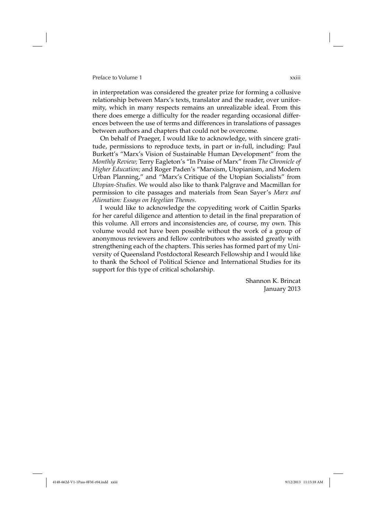#### Preface to Volume 1 and 2008 and 2008 and 2008 and 2008 and 2008 and 2008 and 2008 and 2008 and 2008 and 2008

in interpretation was considered the greater prize for forming a collusive relationship between Marx's texts, translator and the reader, over uniformity, which in many respects remains an unrealizable ideal. From this there does emerge a difficulty for the reader regarding occasional differences between the use of terms and differences in translations of passages between authors and chapters that could not be overcome.

 On behalf of Praeger, I would like to acknowledge, with sincere gratitude, permissions to reproduce texts, in part or in-full, including: Paul Burkett's "Marx's Vision of Sustainable Human Development" from the *Monthly Review;* Terry Eagleton's "In Praise of Marx" from *The Chronicle of Higher Education;* and Roger Paden's "Marxism, Utopianism, and Modern Urban Planning," and "Marx's Critique of the Utopian Socialists" from *Utopian-Studies.* We would also like to thank Palgrave and Macmillan for permission to cite passages and materials from Sean Sayer's *Marx and Alienation: Essays on Hegelian Themes.*

 I would like to acknowledge the copyediting work of Caitlin Sparks for her careful diligence and attention to detail in the final preparation of this volume. All errors and inconsistencies are, of course, my own. This volume would not have been possible without the work of a group of anonymous reviewers and fellow contributors who assisted greatly with strengthening each of the chapters. This series has formed part of my University of Queensland Postdoctoral Research Fellowship and I would like to thank the School of Political Science and International Studies for its support for this type of critical scholarship.

> Shannon K. Brincat January 2013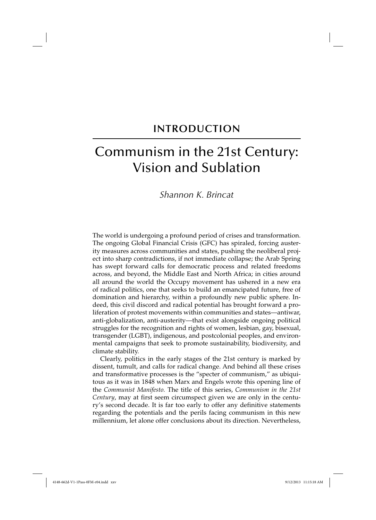### **INTRODUCTION**

## Communism in the 21st Century: Vision and Sublation

### *Shannon K. Brincat*

 The world is undergoing a profound period of crises and transformation. The ongoing Global Financial Crisis (GFC) has spiraled, forcing austerity measures across communities and states, pushing the neoliberal project into sharp contradictions, if not immediate collapse; the Arab Spring has swept forward calls for democratic process and related freedoms across, and beyond, the Middle East and North Africa; in cities around all around the world the Occupy movement has ushered in a new era of radical politics, one that seeks to build an emancipated future, free of domination and hierarchy, within a profoundly new public sphere. Indeed, this civil discord and radical potential has brought forward a proliferation of protest movements within communities and states—antiwar, anti-globalization, anti-austerity—that exist alongside ongoing political struggles for the recognition and rights of women, lesbian, gay, bisexual, transgender (LGBT), indigenous, and postcolonial peoples, and environmental campaigns that seek to promote sustainability, biodiversity, and climate stability.

 Clearly, politics in the early stages of the 21st century is marked by dissent, tumult, and calls for radical change. And behind all these crises and transformative processes is the "specter of communism," as ubiquitous as it was in 1848 when Marx and Engels wrote this opening line of the *Communist Manifesto.* The title of this series, *Communism in the 21st Century* , may at first seem circumspect given we are only in the century's second decade. It is far too early to offer any definitive statements regarding the potentials and the perils facing communism in this new millennium, let alone offer conclusions about its direction. Nevertheless,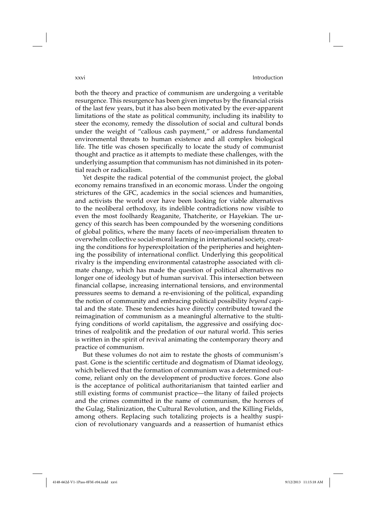#### xxvi Introduction

both the theory and practice of communism are undergoing a veritable resurgence. This resurgence has been given impetus by the financial crisis of the last few years, but it has also been motivated by the ever-apparent limitations of the state as political community, including its inability to steer the economy, remedy the dissolution of social and cultural bonds under the weight of "callous cash payment," or address fundamental environmental threats to human existence and all complex biological life. The title was chosen specifically to locate the study of communist thought and practice as it attempts to mediate these challenges, with the underlying assumption that communism has not diminished in its potential reach or radicalism.

 Yet despite the radical potential of the communist project, the global economy remains transfixed in an economic morass. Under the ongoing strictures of the GFC, academics in the social sciences and humanities, and activists the world over have been looking for viable alternatives to the neoliberal orthodoxy, its indelible contradictions now visible to even the most foolhardy Reaganite, Thatcherite, or Hayekian. The urgency of this search has been compounded by the worsening conditions of global politics, where the many facets of neo-imperialism threaten to overwhelm collective social-moral learning in international society, creating the conditions for hyperexploitation of the peripheries and heightening the possibility of international conflict. Underlying this geopolitical rivalry is the impending environmental catastrophe associated with climate change, which has made the question of political alternatives no longer one of ideology but of human survival. This intersection between financial collapse, increasing international tensions, and environmental pressures seems to demand a re-envisioning of the political, expanding the notion of community and embracing political possibility *beyond* capital and the state. These tendencies have directly contributed toward the reimagination of communism as a meaningful alternative to the stultifying conditions of world capitalism, the aggressive and ossifying doctrines of realpolitik and the predation of our natural world. This series is written in the spirit of revival animating the contemporary theory and practice of communism.

 But these volumes do not aim to restate the ghosts of communism's past. Gone is the scientific certitude and dogmatism of Diamat ideology, which believed that the formation of communism was a determined outcome, reliant only on the development of productive forces. Gone also is the acceptance of political authoritarianism that tainted earlier and still existing forms of communist practice—the litany of failed projects and the crimes committed in the name of communism, the horrors of the Gulag, Stalinization, the Cultural Revolution, and the Killing Fields, among others. Replacing such totalizing projects is a healthy suspicion of revolutionary vanguards and a reassertion of humanist ethics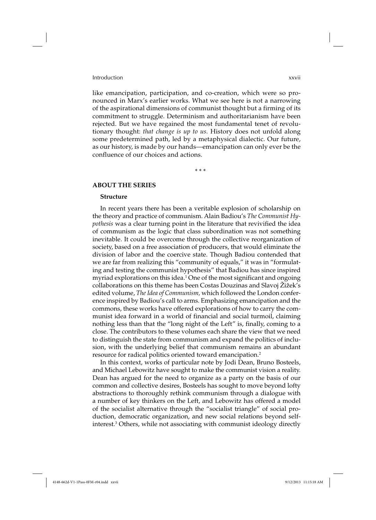#### Introduction **xxvii**

like emancipation, participation, and co-creation, which were so pronounced in Marx's earlier works. What we see here is not a narrowing of the aspirational dimensions of communist thought but a firming of its commitment to struggle. Determinism and authoritarianism have been rejected. But we have regained the most fundamental tenet of revolutionary thought: *that change is up to us.* History does not unfold along some predetermined path, led by a metaphysical dialectic. Our future, as our history, is made by our hands—emancipation can only ever be the confluence of our choices and actions.

\* \* \*

### **ABOUT THE SERIES**

#### **Structure**

 In recent years there has been a veritable explosion of scholarship on the theory and practice of communism. Alain Badiou's *The Communist Hypothesis* was a clear turning point in the literature that revivified the idea of communism as the logic that class subordination was not something inevitable. It could be overcome through the collective reorganization of society, based on a free association of producers, that would eliminate the division of labor and the coercive state. Though Badiou contended that we are far from realizing this "community of equals," it was in "formulating and testing the communist hypothesis" that Badiou has since inspired myriad explorations on this idea.<sup>1</sup> One of the most significant and ongoing collaborations on this theme has been Costas Douzinas and Slavoj Žižek's edited volume, *The Idea of Communism,* which followed the London conference inspired by Badiou's call to arms. Emphasizing emancipation and the commons, these works have offered explorations of how to carry the communist idea forward in a world of financial and social turmoil, claiming nothing less than that the "long night of the Left" is, finally, coming to a close. The contributors to these volumes each share the view that we need to distinguish the state from communism and expand the politics of inclusion, with the underlying belief that communism remains an abundant resource for radical politics oriented toward emancipation.<sup>2</sup>

 In this context, works of particular note by Jodi Dean, Bruno Bosteels, and Michael Lebowitz have sought to make the communist vision a reality. Dean has argued for the need to organize as a party on the basis of our common and collective desires, Bosteels has sought to move beyond lofty abstractions to thoroughly rethink communism through a dialogue with a number of key thinkers on the Left, and Lebowitz has offered a model of the socialist alternative through the "socialist triangle" of social production, democratic organization, and new social relations beyond selfinterest.<sup>3</sup> Others, while not associating with communist ideology directly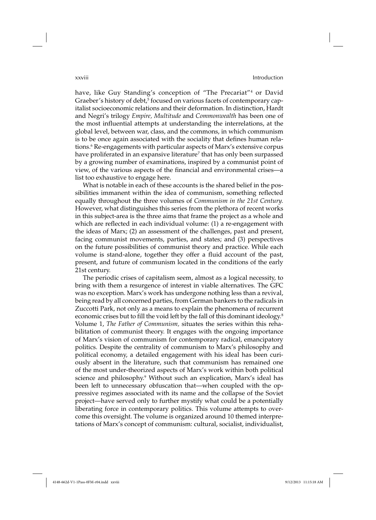#### xxviii Introduction

have, like Guy Standing's conception of "The Precariat"<sup>4</sup> or David Graeber's history of debt,<sup>5</sup> focused on various facets of contemporary capitalist socioeconomic relations and their deformation. In distinction, Hardt and Negri's trilogy *Empire, Multitude* and *Commonwealth* has been one of the most influential attempts at understanding the interrelations, at the global level, between war, class, and the commons, in which communism is to be once again associated with the sociality that defines human relations. 6 Re-engagements with particular aspects of Marx's extensive corpus have proliferated in an expansive literature<sup>7</sup> that has only been surpassed by a growing number of examinations, inspired by a communist point of view, of the various aspects of the financial and environmental crises—a list too exhaustive to engage here.

 What is notable in each of these accounts is the shared belief in the possibilities immanent within the idea of communism, something reflected equally throughout the three volumes of *Communism in the 21st Century.* However, what distinguishes this series from the plethora of recent works in this subject-area is the three aims that frame the project as a whole and which are reflected in each individual volume: (1) a re-engagement with the ideas of Marx; (2) an assessment of the challenges, past and present, facing communist movements, parties, and states; and (3) perspectives on the future possibilities of communist theory and practice. While each volume is stand-alone, together they offer a fluid account of the past, present, and future of communism located in the conditions of the early 21st century.

 The periodic crises of capitalism seem, almost as a logical necessity, to bring with them a resurgence of interest in viable alternatives. The GFC was no exception. Marx's work has undergone nothing less than a revival, being read by all concerned parties, from German bankers to the radicals in Zuccotti Park, not only as a means to explain the phenomena of recurrent economic crises but to fill the void left by the fall of this dominant ideology.<sup>8</sup> Volume 1, *The Father of Communism,* situates the series within this rehabilitation of communist theory. It engages with the ongoing importance of Marx's vision of communism for contemporary radical, emancipatory politics. Despite the centrality of communism to Marx's philosophy and political economy, a detailed engagement with his ideal has been curiously absent in the literature, such that communism has remained one of the most under-theorized aspects of Marx's work within both political science and philosophy.<sup>9</sup> Without such an explication, Marx's ideal has been left to unnecessary obfuscation that—when coupled with the oppressive regimes associated with its name and the collapse of the Soviet project—have served only to further mystify what could be a potentially liberating force in contemporary politics. This volume attempts to overcome this oversight. The volume is organized around 10 themed interpretations of Marx's concept of communism: cultural, socialist, individualist,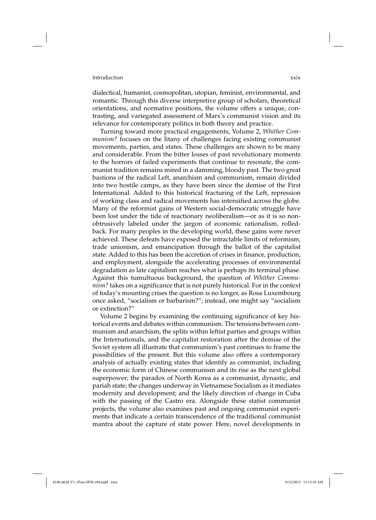#### Introduction **xxix**

dialectical, humanist, cosmopolitan, utopian, feminist, environmental, and romantic. Through this diverse interpretive group of scholars, theoretical orientations, and normative positions, the volume offers a unique, contrasting, and variegated assessment of Marx's communist vision and its relevance for contemporary politics in both theory and practice.

 Turning toward more practical engagements, Volume 2, *Whither Communism?* focuses on the litany of challenges facing existing communist movements, parties, and states. These challenges are shown to be many and considerable. From the bitter losses of past revolutionary moments to the horrors of failed experiments that continue to resonate, the communist tradition remains mired in a damming, bloody past. The two great bastions of the radical Left, anarchism and communism, remain divided into two hostile camps, as they have been since the demise of the First International. Added to this historical fracturing of the Left, repression of working class and radical movements has intensified across the globe. Many of the reformist gains of Western social-democratic struggle have been lost under the tide of reactionary neoliberalism—or as it is so nonobtrusively labeled under the jargon of economic rationalism, rolledback. For many peoples in the developing world, these gains were never achieved. These defeats have exposed the intractable limits of reformism, trade unionism, and emancipation through the ballot of the capitalist state. Added to this has been the accretion of crises in finance, production, and employment, alongside the accelerating processes of environmental degradation as late capitalism reaches what is perhaps its terminal phase. Against this tumultuous background, the question of *Whither Communism?* takes on a significance that is not purely historical. For in the context of today's mounting crises the question is no longer, as Rosa Luxembourg once asked, "socialism or barbarism?"; instead, one might say "socialism or extinction?"

 Volume 2 begins by examining the continuing significance of key historical events and debates within communism. The tensions between communism and anarchism, the splits within leftist parties and groups within the Internationals, and the capitalist restoration after the demise of the Soviet system all illustrate that communism's past continues to frame the possibilities of the present. But this volume also offers a contemporary analysis of actually existing states that identify as communist, including the economic form of Chinese communism and its rise as the next global superpower; the paradox of North Korea as a communist, dynastic, and pariah state; the changes underway in Vietnamese Socialism as it mediates modernity and development; and the likely direction of change in Cuba with the passing of the Castro era. Alongside these statist communist projects, the volume also examines past and ongoing communist experiments that indicate a certain transcendence of the traditional communist mantra about the capture of state power. Here, novel developments in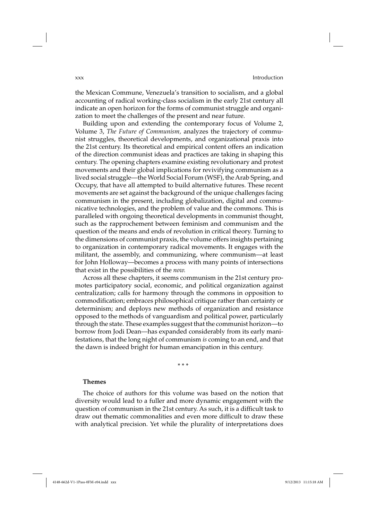#### xxx Introduction and the set of the set of the set of the set of the set of the set of the set of the set of the set of the set of the set of the set of the set of the set of the set of the set of the set of the set of the

the Mexican Commune, Venezuela's transition to socialism, and a global accounting of radical working-class socialism in the early 21st century all indicate an open horizon for the forms of communist struggle and organization to meet the challenges of the present and near future.

 Building upon and extending the contemporary focus of Volume 2, Volume 3, *The Future of Communism,* analyzes the trajectory of communist struggles, theoretical developments, and organizational praxis into the 21st century. Its theoretical and empirical content offers an indication of the direction communist ideas and practices are taking in shaping this century. The opening chapters examine existing revolutionary and protest movements and their global implications for revivifying communism as a lived social struggle—the World Social Forum (WSF), the Arab Spring, and Occupy, that have all attempted to build alternative futures. These recent movements are set against the background of the unique challenges facing communism in the present, including globalization, digital and communicative technologies, and the problem of value and the commons. This is paralleled with ongoing theoretical developments in communist thought, such as the rapprochement between feminism and communism and the question of the means and ends of revolution in critical theory. Turning to the dimensions of communist praxis, the volume offers insights pertaining to organization in contemporary radical movements. It engages with the militant, the assembly, and communizing, where communism—at least for John Holloway—becomes a process with many points of intersections that exist in the possibilities of the *now.*

 Across all these chapters, it seems communism in the 21st century promotes participatory social, economic, and political organization against centralization; calls for harmony through the commons in opposition to commodification; embraces philosophical critique rather than certainty or determinism; and deploys new methods of organization and resistance opposed to the methods of vanguardism and political power, particularly through the state. These examples suggest that the communist horizon—to borrow from Jodi Dean—has expanded considerably from its early manifestations, that the long night of communism *is* coming to an end, and that the dawn is indeed bright for human emancipation in this century.

\* \* \*

#### **Themes**

 The choice of authors for this volume was based on the notion that diversity would lead to a fuller and more dynamic engagement with the question of communism in the 21st century. As such, it is a difficult task to draw out thematic commonalities and even more difficult to draw these with analytical precision. Yet while the plurality of interpretations does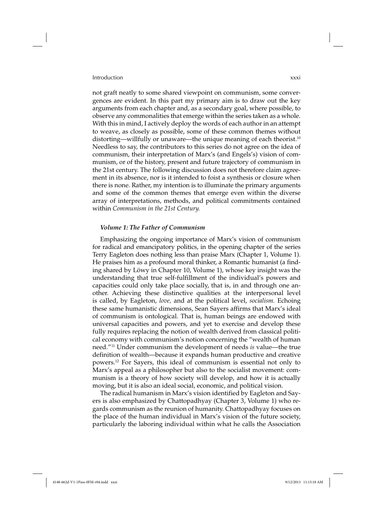#### **Introduction** xxxi

not graft neatly to some shared viewpoint on communism, some convergences are evident. In this part my primary aim is to draw out the key arguments from each chapter and, as a secondary goal, where possible, to observe any commonalities that emerge within the series taken as a whole. With this in mind, I actively deploy the words of each author in an attempt to weave, as closely as possible, some of these common themes without distorting—willfully or unaware—the unique meaning of each theorist.<sup>10</sup> Needless to say, the contributors to this series do not agree on the idea of communism, their interpretation of Marx's (and Engels's) vision of communism, or of the history, present and future trajectory of communism in the 21st century. The following discussion does not therefore claim agreement in its absence, nor is it intended to foist a synthesis or closure when there is none. Rather, my intention is to illuminate the primary arguments and some of the common themes that emerge even within the diverse array of interpretations, methods, and political commitments contained within *Communism in the 21st Century.*

#### *Volume 1: The Father of Communism*

 Emphasizing the ongoing importance of Marx's vision of communism for radical and emancipatory politics, in the opening chapter of the series Terry Eagleton does nothing less than praise Marx (Chapter 1, Volume 1). He praises him as a profound moral thinker, a Romantic humanist (a finding shared by Löwy in Chapter 10, Volume 1), whose key insight was the understanding that true self-fulfillment of the individual's powers and capacities could only take place socially, that is, in and through one another. Achieving these distinctive qualities at the interpersonal level is called, by Eagleton, *love,* and at the political level, *socialism.* Echoing these same humanistic dimensions, Sean Sayers affirms that Marx's ideal of communism is ontological. That is, human beings are endowed with universal capacities and powers, and yet to exercise and develop these fully requires replacing the notion of wealth derived from classical political economy with communism's notion concerning the "wealth of human need." 11 Under communism the development of needs *is* value—the true definition of wealth—because it expands human productive and creative powers. 12 For Sayers, this ideal of communism is essential not only to Marx's appeal as a philosopher but also to the socialist movement: communism is a theory of how society will develop, and how it is actually moving, but it is also an ideal social, economic, and political vision.

 The radical humanism in Marx's vision identified by Eagleton and Sayers is also emphasized by Chattopadhyay (Chapter 3, Volume 1) who regards communism as the reunion of humanity. Chattopadhyay focuses on the place of the human individual in Marx's vision of the future society, particularly the laboring individual within what he calls the Association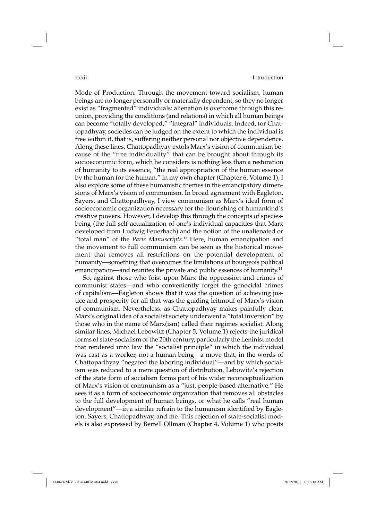#### xxxii Introduction

Mode of Production. Through the movement toward socialism, human beings are no longer personally or materially dependent, so they no longer exist as "fragmented" individuals: alienation is overcome through this reunion, providing the conditions (and relations) in which all human beings can become "totally developed," "integral" individuals. Indeed, for Chattopadhyay, societies can be judged on the extent to which the individual is free within it, that is, suffering neither personal nor objective dependence. Along these lines, Chattopadhyay extols Marx's vision of communism because of the "free individuality" that can be brought about through its socioeconomic form, which he considers is nothing less than a restoration of humanity to its essence, "the real appropriation of the human essence by the human for the human." In my own chapter (Chapter 6, Volume 1), I also explore some of these humanistic themes in the emancipatory dimensions of Marx's vision of communism. In broad agreement with Eagleton, Sayers, and Chattopadhyay, I view communism as Marx's ideal form of socioeconomic organization necessary for the flourishing of humankind's creative powers. However, I develop this through the concepts of speciesbeing (the full self-actualization of one's individual capacities that Marx developed from Ludwig Feuerbach) and the notion of the unalienated or "total man" of the *Paris Manuscripts.*13 Here, human emancipation and the movement to full communism can be seen as the historical movement that removes all restrictions on the potential development of humanity—something that overcomes the limitations of bourgeois political emancipation—and reunites the private and public essences of humanity.<sup>14</sup>

 So, against those who foist upon Marx the oppression and crimes of communist states—and who conveniently forget the genocidal crimes of capitalism—Eagleton shows that it was the question of achieving justice and prosperity for all that was the guiding leitmotif of Marx's vision of communism. Nevertheless, as Chattopadhyay makes painfully clear, Marx's original idea of a socialist society underwent a "total inversion" by those who in the name of Marx(ism) called their regimes socialist. Along similar lines, Michael Lebowitz (Chapter 5, Volume 1) rejects the juridical forms of state-socialism of the 20th century, particularly the Leninist model that rendered unto law the "socialist principle" in which the individual was cast as a worker, not a human being—a move that, in the words of Chattopadhyay "negated the laboring individual"—and by which socialism was reduced to a mere question of distribution. Lebowitz's rejection of the state form of socialism forms part of his wider reconceptualization of Marx's vision of communism as a "just, people-based alternative." He sees it as a form of socioeconomic organization that removes all obstacles to the full development of human beings, or what he calls "real human development"—in a similar refrain to the humanism identified by Eagleton, Sayers, Chattopadhyay, and me. This rejection of state-socialist models is also expressed by Bertell Ollman (Chapter 4, Volume 1) who posits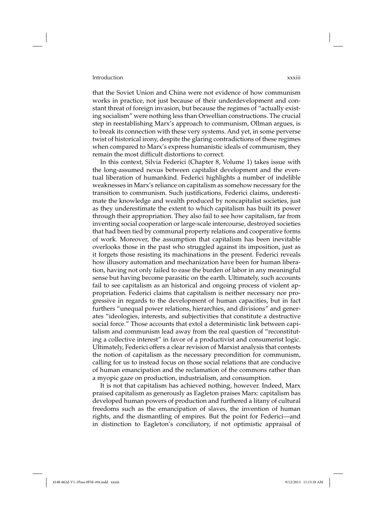#### Introduction xxxiii

that the Soviet Union and China were not evidence of how communism works in practice, not just because of their underdevelopment and constant threat of foreign invasion, but because the regimes of "actually existing socialism" were nothing less than Orwellian constructions. The crucial step in reestablishing Marx's approach to communism, Ollman argues, is to break its connection with these very systems. And yet, in some perverse twist of historical irony, despite the glaring contradictions of these regimes when compared to Marx's express humanistic ideals of communism, they remain the most difficult distortions to correct.

 In this context, Silvia Federici (Chapter 8, Volume 1) takes issue with the long-assumed nexus between capitalist development and the eventual liberation of humankind. Federici highlights a number of indelible weaknesses in Marx's reliance on capitalism as somehow necessary for the transition to communism. Such justifications, Federici claims, underestimate the knowledge and wealth produced by noncapitalist societies, just as they underestimate the extent to which capitalism has built its power through their appropriation. They also fail to see how capitalism, far from inventing social cooperation or large-scale intercourse, destroyed societies that had been tied by communal property relations and cooperative forms of work. Moreover, the assumption that capitalism has been inevitable overlooks those in the past who struggled against its imposition, just as it forgets those resisting its machinations in the present. Federici reveals how illusory automation and mechanization have been for human liberation, having not only failed to ease the burden of labor in any meaningful sense but having become parasitic on the earth. Ultimately, such accounts fail to see capitalism as an historical and ongoing process of violent appropriation. Federici claims that capitalism is neither necessary nor progressive in regards to the development of human capacities, but in fact furthers "unequal power relations, hierarchies, and divisions" and generates "ideologies, interests, and subjectivities that constitute a destructive social force." Those accounts that extol a deterministic link between capitalism and communism lead away from the real question of "reconstituting a collective interest" in favor of a productivist and consumerist logic. Ultimately, Federici offers a clear revision of Marxist analysis that contests the notion of capitalism as the necessary precondition for communism, calling for us to instead focus on those social relations that are conducive of human emancipation and the reclamation of the commons rather than a myopic gaze on production, industrialism, and consumption.

 It is not that capitalism has achieved nothing, however. Indeed, Marx praised capitalism as generously as Eagleton praises Marx: capitalism has developed human powers of production and furthered a litany of cultural freedoms such as the emancipation of slaves, the invention of human rights, and the dismantling of empires. But the point for Federici—and in distinction to Eagleton's conciliatory, if not optimistic appraisal of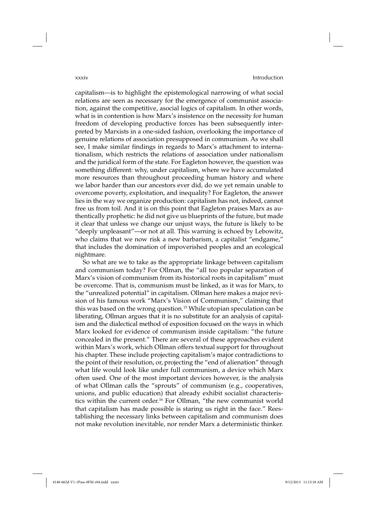#### xxxiv and the state of the state of the state of the state of the state of the state of the state of the state of the state of the state of the state of the state of the state of the state of the state of the state of the

capitalism—is to highlight the epistemological narrowing of what social relations are seen as necessary for the emergence of communist association, against the competitive, asocial logics of capitalism. In other words, what is in contention is how Marx's insistence on the necessity for human freedom of developing productive forces has been subsequently interpreted by Marxists in a one-sided fashion, overlooking the importance of genuine relations of association presupposed in communism. As we shall see, I make similar findings in regards to Marx's attachment to internationalism, which restricts the relations of association under nationalism and the juridical form of the state. For Eagleton however, the question was something different: why, under capitalism, where we have accumulated more resources than throughout proceeding human history and where we labor harder than our ancestors ever did, do we yet remain unable to overcome poverty, exploitation, and inequality? For Eagleton, the answer lies in the way we organize production: capitalism has not, indeed, cannot free us from toil. And it is on this point that Eagleton praises Marx as authentically prophetic: he did not give us blueprints of the future, but made it clear that unless we change our unjust ways, the future is likely to be "deeply unpleasant"—or not at all. This warning is echoed by Lebowitz, who claims that we now risk a new barbarism, a capitalist "endgame," that includes the domination of impoverished peoples and an ecological nightmare.

 So what are we to take as the appropriate linkage between capitalism and communism today? For Ollman, the "all too popular separation of Marx's vision of communism from its historical roots in capitalism" must be overcome. That is, communism must be linked, as it was for Marx, to the "unrealized potential" in capitalism. Ollman here makes a major revision of his famous work "Marx's Vision of Communism," claiming that this was based on the wrong question.<sup>15</sup> While utopian speculation can be liberating, Ollman argues that it is no substitute for an analysis of capitalism and the dialectical method of exposition focused on the ways in which Marx looked for evidence of communism inside capitalism: "the future concealed in the present." There are several of these approaches evident within Marx's work, which Ollman offers textual support for throughout his chapter. These include projecting capitalism's major contradictions to the point of their resolution, or, projecting the "end of alienation" through what life would look like under full communism, a device which Marx often used. One of the most important devices however, is the analysis of what Ollman calls the "sprouts" of communism (e.g., cooperatives, unions, and public education) that already exhibit socialist characteristics within the current order.<sup>16</sup> For Ollman, "the new communist world that capitalism has made possible is staring us right in the face." Reestablishing the necessary links between capitalism and communism does not make revolution inevitable, nor render Marx a deterministic thinker.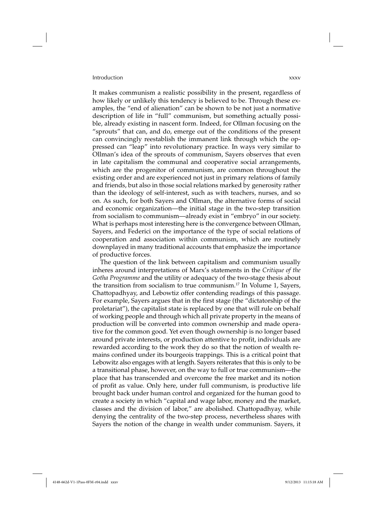#### Introduction xxxv

It makes communism a realistic possibility in the present, regardless of how likely or unlikely this tendency is believed to be. Through these examples, the "end of alienation" can be shown to be not just a normative description of life in "full" communism, but something actually possible, already existing in nascent form. Indeed, for Ollman focusing on the "sprouts" that can, and do, emerge out of the conditions of the present can convincingly reestablish the immanent link through which the oppressed can "leap" into revolutionary practice. In ways very similar to Ollman's idea of the sprouts of communism, Sayers observes that even in late capitalism the communal and cooperative social arrangements, which are the progenitor of communism, are common throughout the existing order and are experienced not just in primary relations of family and friends, but also in those social relations marked by generosity rather than the ideology of self-interest, such as with teachers, nurses, and so on. As such, for both Sayers and Ollman, the alternative forms of social and economic organization—the initial stage in the two-step transition from socialism to communism—already exist in "embryo" in our society. What is perhaps most interesting here is the convergence between Ollman, Sayers, and Federici on the importance of the type of social relations of cooperation and association within communism, which are routinely downplayed in many traditional accounts that emphasize the importance of productive forces.

 The question of the link between capitalism and communism usually inheres around interpretations of Marx's statements in the *Critique of the Gotha Programme* and the utility or adequacy of the two-stage thesis about the transition from socialism to true communism. 17 In Volume 1, Sayers, Chattopadhyay, and Lebowtiz offer contending readings of this passage. For example, Sayers argues that in the first stage (the "dictatorship of the proletariat"), the capitalist state is replaced by one that will rule on behalf of working people and through which all private property in the means of production will be converted into common ownership and made operative for the common good. Yet even though ownership is no longer based around private interests, or production attentive to profit, individuals are rewarded according to the work they do so that the notion of wealth remains confined under its bourgeois trappings. This is a critical point that Lebowitz also engages with at length. Sayers reiterates that this is only to be a transitional phase, however, on the way to full or true communism—the place that has transcended and overcome the free market and its notion of profit as value. Only here, under full communism, is productive life brought back under human control and organized for the human good to create a society in which "capital and wage labor, money and the market, classes and the division of labor," are abolished. Chattopadhyay, while denying the centrality of the two-step process, nevertheless shares with Sayers the notion of the change in wealth under communism. Sayers, it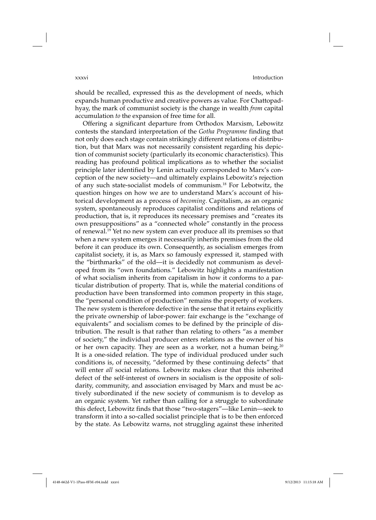#### xxxvi Introduction

should be recalled, expressed this as the development of needs, which expands human productive and creative powers as value. For Chattopadhyay, the mark of communist society is the change in wealth *from* capital accumulation *to* the expansion of free time for all.

 Offering a significant departure from Orthodox Marxism, Lebowitz contests the standard interpretation of the *Gotha Programme* finding that not only does each stage contain strikingly different relations of distribution, but that Marx was not necessarily consistent regarding his depiction of communist society (particularly its economic characteristics). This reading has profound political implications as to whether the socialist principle later identified by Lenin actually corresponded to Marx's conception of the new society—and ultimately explains Lebowitz's rejection of any such state-socialist models of communism. 18 For Lebotwitz, the question hinges on how we are to understand Marx's account of historical development as a process of *becoming.* Capitalism, as an organic system, spontaneously reproduces capitalist conditions and relations of production, that is, it reproduces its necessary premises and "creates its own presuppositions" as a "connected whole" constantly in the process of renewal. 19 Yet no new system can ever produce all its premises so that when a new system emerges it necessarily inherits premises from the old before it can produce its own. Consequently, as socialism emerges from capitalist society, it is, as Marx so famously expressed it, stamped with the "birthmarks" of the old—it is decidedly not communism as developed from its "own foundations." Lebowitz highlights a manifestation of what socialism inherits from capitalism in how it conforms to a particular distribution of property. That is, while the material conditions of production have been transformed into common property in this stage, the "personal condition of production" remains the property of workers. The new system is therefore defective in the sense that it retains explicitly the private ownership of labor-power: fair exchange is the "exchange of equivalents" and socialism comes to be defined by the principle of distribution. The result is that rather than relating to others "as a member of society," the individual producer enters relations as the owner of his or her own capacity. They are seen as a worker, not a human being. $20$ It is a one-sided relation. The type of individual produced under such conditions is, of necessity, "deformed by these continuing defects" that will enter *all* social relations. Lebowitz makes clear that this inherited defect of the self-interest of owners in socialism is the opposite of solidarity, community, and association envisaged by Marx and must be actively subordinated if the new society of communism is to develop as an organic system. Yet rather than calling for a struggle to subordinate this defect, Lebowitz finds that those "two-stagers"—like Lenin—seek to transform it into a so-called socialist principle that is to be then enforced by the state. As Lebowitz warns, not struggling against these inherited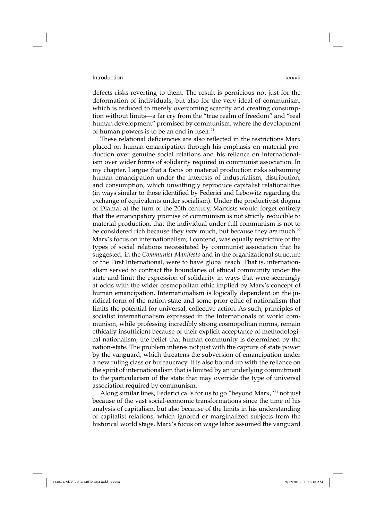#### Introduction xxxvii

defects risks reverting to them. The result is pernicious not just for the deformation of individuals, but also for the very ideal of communism, which is reduced to merely overcoming scarcity and creating consumption without limits—a far cry from the "true realm of freedom" and "real human development" promised by communism, where the development of human powers is to be an end in itself.<sup>21</sup>

 These relational deficiencies are also reflected in the restrictions Marx placed on human emancipation through his emphasis on material production over genuine social relations and his reliance on internationalism over wider forms of solidarity required in communist association. In my chapter, I argue that a focus on material production risks subsuming human emancipation under the interests of industrialism, distribution, and consumption, which unwittingly reproduce capitalist relationalities (in ways similar to those identified by Federici and Lebowitz regarding the exchange of equivalents under socialism). Under the productivist dogma of Diamat at the turn of the 20th century, Marxists would forget entirely that the emancipatory promise of communism is not strictly reducible to material production, that the individual under full communism is not to be considered rich because they *have* much, but because they *are* much. 22 Marx's focus on internationalism, I contend, was equally restrictive of the types of social relations necessitated by communist association that he suggested, in the *Communist Manifesto* and in the organizational structure of the First International, were to have global reach. That is, internationalism served to contract the boundaries of ethical community under the state and limit the expression of solidarity in ways that were seemingly at odds with the wider cosmopolitan ethic implied by Marx's concept of human emancipation. Internationalism is logically dependent on the juridical form of the nation-state and some prior ethic of nationalism that limits the potential for universal, collective action. As such, principles of socialist internationalism expressed in the Internationals or world communism, while professing incredibly strong cosmopolitan norms, remain ethically insufficient because of their explicit acceptance of methodological nationalism, the belief that human community is determined by the nation-state. The problem inheres not just with the capture of state power by the vanguard, which threatens the subversion of emancipation under a new ruling class or bureaucracy. It is also bound up with the reliance on the spirit of internationalism that is limited by an underlying commitment to the particularism of the state that may override the type of universal association required by communism.

Along similar lines, Federici calls for us to go "beyond Marx,"<sup>23</sup> not just because of the vast social-economic transformations since the time of his analysis of capitalism, but also because of the limits in his understanding of capitalist relations, which ignored or marginalized subjects from the historical world stage. Marx's focus on wage labor assumed the vanguard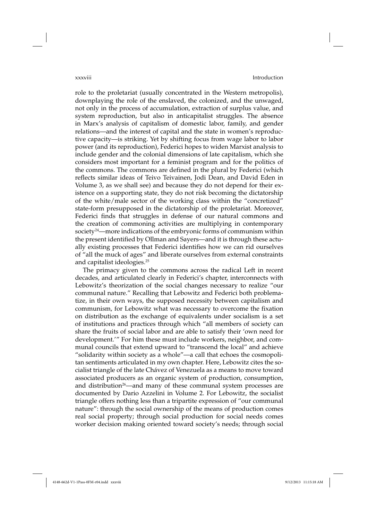#### xxxviii Introduction

role to the proletariat (usually concentrated in the Western metropolis), downplaying the role of the enslaved, the colonized, and the unwaged, not only in the process of accumulation, extraction of surplus value, and system reproduction, but also in anticapitalist struggles. The absence in Marx's analysis of capitalism of domestic labor, family, and gender relations—and the interest of capital and the state in women's reproductive capacity—is striking. Yet by shifting focus from wage labor to labor power (and its reproduction), Federici hopes to widen Marxist analysis to include gender and the colonial dimensions of late capitalism, which she considers most important for a feminist program and for the politics of the commons. The commons are defined in the plural by Federici (which reflects similar ideas of Teivo Teivainen, Jodi Dean, and David Eden in Volume 3, as we shall see) and because they do not depend for their existence on a supporting state, they do not risk becoming the dictatorship of the white/male sector of the working class within the "concretized" state-form presupposed in the dictatorship of the proletariat. Moreover, Federici finds that struggles in defense of our natural commons and the creation of commoning activities are multiplying in contemporary society<sup>24</sup>—more indications of the embryonic forms of communism within the present identified by Ollman and Sayers—and it is through these actually existing processes that Federici identifies how we can rid ourselves of "all the muck of ages" and liberate ourselves from external constraints and capitalist ideologies. 25

 The primacy given to the commons across the radical Left in recent decades, and articulated clearly in Federici's chapter, interconnects with Lebowitz's theorization of the social changes necessary to realize "our communal nature." Recalling that Lebowitz and Federici both problematize, in their own ways, the supposed necessity between capitalism and communism, for Lebowitz what was necessary to overcome the fixation on distribution as the exchange of equivalents under socialism is a set of institutions and practices through which "all members of society can share the fruits of social labor and are able to satisfy their 'own need for development.'" For him these must include workers, neighbor, and communal councils that extend upward to "transcend the local" and achieve "solidarity within society as a whole"—a call that echoes the cosmopolitan sentiments articulated in my own chapter. Here, Lebowitz cites the socialist triangle of the late Chávez of Venezuela as a means to move toward associated producers as an organic system of production, consumption, and distribution<sup>26</sup>—and many of these communal system processes are documented by Dario Azzelini in Volume 2. For Lebowitz, the socialist triangle offers nothing less than a tripartite expression of "our communal nature": through the social ownership of the means of production comes real social property; through social production for social needs comes worker decision making oriented toward society's needs; through social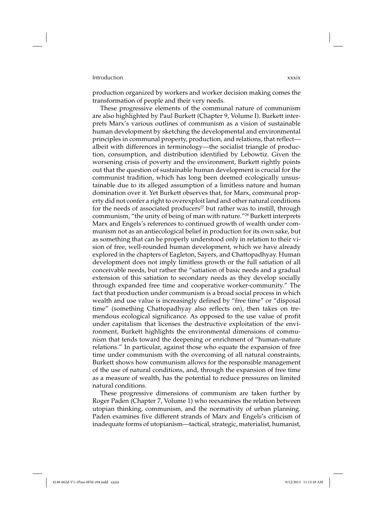#### Introduction xxxix

production organized by workers and worker decision making comes the transformation of people and their very needs.

 These progressive elements of the communal nature of communism are also highlighted by Paul Burkett (Chapter 9, Volume I). Burkett interprets Marx's various outlines of communism as a vision of sustainable human development by sketching the developmental and environmental principles in communal property, production, and relations, that reflect albeit with differences in terminology—the socialist triangle of production, consumption, and distribution identified by Lebowtiz. Given the worsening crisis of poverty and the environment, Burkett rightly points out that the question of sustainable human development is crucial for the communist tradition, which has long been deemed ecologically unsustainable due to its alleged assumption of a limitless nature and human domination over it. Yet Burkett observes that, for Marx, communal property did not confer a right to overexploit land and other natural conditions for the needs of associated producers<sup>27</sup> but rather was to instill, through communism, "the unity of being of man with nature."<sup>28</sup> Burkett interprets Marx and Engels's references to continued growth of wealth under communism not as an antiecological belief in production for its own sake, but as something that can be properly understood only in relation to their vision of free, well-rounded human development, which we have already explored in the chapters of Eagleton, Sayers, and Chattopadhyay. Human development does not imply limitless growth or the full satiation of all conceivable needs, but rather the "satiation of basic needs and a gradual extension of this satiation to secondary needs as they develop socially through expanded free time and cooperative worker-community." The fact that production under communism is a broad social process in which wealth and use value is increasingly defined by "free time" or "disposal time" (something Chattopadhyay also reflects on), then takes on tremendous ecological significance. As opposed to the use value of profit under capitalism that licenses the destructive exploitation of the environment, Burkett highlights the environmental dimensions of communism that tends toward the deepening or enrichment of "human–nature relations." In particular, against those who equate the expansion of free time under communism with the overcoming of all natural constraints, Burkett shows how communism allows for the responsible management of the use of natural conditions, and, through the expansion of free time as a measure of wealth, has the potential to reduce pressures on limited natural conditions.

 These progressive dimensions of communism are taken further by Roger Paden (Chapter 7, Volume 1) who reexamines the relation between utopian thinking, communism, and the normativity of urban planning. Paden examines five different strands of Marx and Engels's criticism of inadequate forms of utopianism—tactical, strategic, materialist, humanist,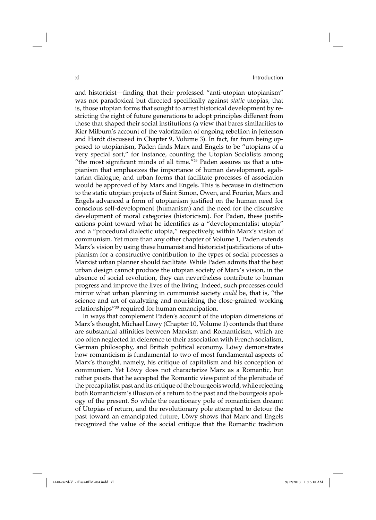#### xl Introduction

and historicist—finding that their professed "anti-utopian utopianism" was not paradoxical but directed specifically against *static* utopias, that is, those utopian forms that sought to arrest historical development by restricting the right of future generations to adopt principles different from those that shaped their social institutions (a view that bares similarities to Kier Milburn's account of the valorization of ongoing rebellion in Jefferson and Hardt discussed in Chapter 9, Volume 3). In fact, far from being opposed to utopianism, Paden finds Marx and Engels to be "utopians of a very special sort," for instance, counting the Utopian Socialists among "the most significant minds of all time. $129$  Paden assures us that a utopianism that emphasizes the importance of human development, egalitarian dialogue, and urban forms that facilitate processes of association would be approved of by Marx and Engels. This is because in distinction to the static utopian projects of Saint Simon, Owen, and Fourier, Marx and Engels advanced a form of utopianism justified on the human need for conscious self-development (humanism) and the need for the discursive development of moral categories (historicism). For Paden, these justifications point toward what he identifies as a "developmentalist utopia" and a "procedural dialectic utopia," respectively, within Marx's vision of communism. Yet more than any other chapter of Volume 1, Paden extends Marx's vision by using these humanist and historicist justifications of utopianism for a constructive contribution to the types of social processes a Marxist urban planner should facilitate. While Paden admits that the best urban design cannot produce the utopian society of Marx's vision, in the absence of social revolution, they can nevertheless contribute to human progress and improve the lives of the living. Indeed, such processes could mirror what urban planning in communist society *could* be, that is, "the science and art of catalyzing and nourishing the close-grained working relationships"<sup>30</sup> required for human emancipation.

 In ways that complement Paden's account of the utopian dimensions of Marx's thought, Michael Löwy (Chapter 10, Volume 1) contends that there are substantial affinities between Marxism and Romanticism, which are too often neglected in deference to their association with French socialism, German philosophy, and British political economy. Löwy demonstrates how romanticism is fundamental to two of most fundamental aspects of Marx's thought, namely, his critique of capitalism and his conception of communism. Yet Löwy does not characterize Marx as a Romantic, but rather posits that he accepted the Romantic viewpoint of the plenitude of the precapitalist past and its critique of the bourgeois world, while rejecting both Romanticism's illusion of a return to the past and the bourgeois apology of the present. So while the reactionary pole of romanticism dreamt of Utopias of return, and the revolutionary pole attempted to detour the past toward an emancipated future, Löwy shows that Marx and Engels recognized the value of the social critique that the Romantic tradition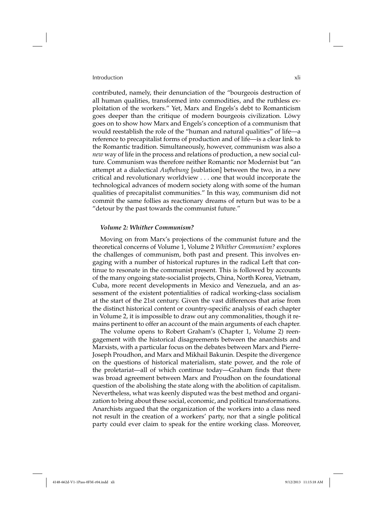#### Introduction xli

contributed, namely, their denunciation of the "bourgeois destruction of all human qualities, transformed into commodities, and the ruthless exploitation of the workers." Yet, Marx and Engels's debt to Romanticism goes deeper than the critique of modern bourgeois civilization. Löwy goes on to show how Marx and Engels's conception of a communism that would reestablish the role of the "human and natural qualities" of life—a reference to precapitalist forms of production and of life—is a clear link to the Romantic tradition. Simultaneously, however, communism was also a *new* way of life in the process and relations of production, a new social culture. Communism was therefore neither Romantic nor Modernist but "an attempt at a dialectical *Aufhebung* [sublation] between the two, in a new critical and revolutionary worldview . . . one that would incorporate the technological advances of modern society along with some of the human qualities of precapitalist communities." In this way, communism did not commit the same follies as reactionary dreams of return but was to be a "detour by the past towards the communist future."

#### *Volume 2: Whither Communism?*

 Moving on from Marx's projections of the communist future and the theoretical concerns of Volume 1, Volume 2 *Whither Communism?* explores the challenges of communism, both past and present. This involves engaging with a number of historical ruptures in the radical Left that continue to resonate in the communist present. This is followed by accounts of the many ongoing state-socialist projects, China, North Korea, Vietnam, Cuba, more recent developments in Mexico and Venezuela, and an assessment of the existent potentialities of radical working-class socialism at the start of the 21st century. Given the vast differences that arise from the distinct historical content or country-specific analysis of each chapter in Volume 2, it is impossible to draw out any commonalities, though it remains pertinent to offer an account of the main arguments of each chapter.

 The volume opens to Robert Graham's (Chapter 1, Volume 2) reengagement with the historical disagreements between the anarchists and Marxists, with a particular focus on the debates between Marx and Pierre-Joseph Proudhon, and Marx and Mikhail Bakunin. Despite the divergence on the questions of historical materialism, state power, and the role of the proletariat—all of which continue today—Graham finds that there was broad agreement between Marx and Proudhon on the foundational question of the abolishing the state along with the abolition of capitalism. Nevertheless, what was keenly disputed was the best method and organization to bring about these social, economic, and political transformations. Anarchists argued that the organization of the workers into a class need not result in the creation of a workers' party, nor that a single political party could ever claim to speak for the entire working class. Moreover,

4148-662d-V1-1Pass-0FM-r04.indd xli 148-662d-V1-1Pass-0FM-r04.indd 9/12/2013 11:15:18 AM /12/2013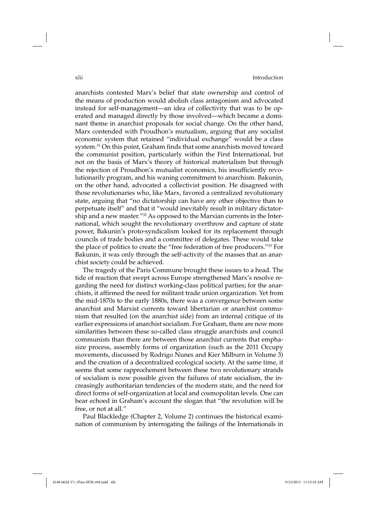#### xlii Introduction

anarchists contested Marx's belief that state ownership and control of the means of production would abolish class antagonism and advocated instead for self-management—an idea of collectivity that was to be operated and managed directly by those involved—which became a dominant theme in anarchist proposals for social change. On the other hand, Marx contended with Proudhon's mutualism, arguing that any socialist economic system that retained "individual exchange" would be a class system.<sup>31</sup> On this point, Graham finds that some anarchists moved toward the communist position, particularly within the First International, but not on the basis of Marx's theory of historical materialism but through the rejection of Proudhon's mutualist economics, his insufficiently revolutionarily program, and his waning commitment to anarchism. Bakunin, on the other hand, advocated a collectivist position. He disagreed with those revolutionaries who, like Marx, favored a centralized revolutionary state, arguing that "no dictatorship can have any other objective than to perpetuate itself" and that it "would inevitably result in military dictatorship and a new master."<sup>32</sup> As opposed to the Marxian currents in the International, which sought the revolutionary overthrow and capture of state power, Bakunin's proto-syndicalism looked for its replacement through councils of trade bodies and a committee of delegates. These would take the place of politics to create the "free federation of free producers."<sup>33</sup> For Bakunin, it was only through the self-activity of the masses that an anarchist society could be achieved.

 The tragedy of the Paris Commune brought these issues to a head. The tide of reaction that swept across Europe strengthened Marx's resolve regarding the need for distinct working-class political parties; for the anarchists, it affirmed the need for militant trade union organization. Yet from the mid-1870s to the early 1880s, there was a convergence between some anarchist and Marxist currents toward libertarian or anarchist communism that resulted (on the anarchist side) from an internal critique of its earlier expressions of anarchist socialism. For Graham, there are now more similarities between these so-called class struggle anarchists and council communists than there are between those anarchist currents that emphasize process, assembly forms of organization (such as the 2011 Occupy movements, discussed by Rodrigo Nunes and Kier Milburn in Volume 3) and the creation of a decentralized ecological society. At the same time, it seems that some rapprochement between these two revolutionary strands of socialism is now possible given the failures of state socialism, the increasingly authoritarian tendencies of the modern state, and the need for direct forms of self-organization at local and cosmopolitan levels. One can hear echoed in Graham's account the slogan that "the revolution will be free, or not at all."

 Paul Blackledge (Chapter 2, Volume 2) continues the historical examination of communism by interrogating the failings of the Internationals in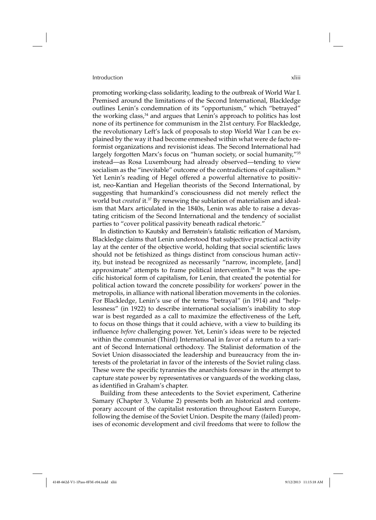#### Introduction **xliii**

promoting working-class solidarity, leading to the outbreak of World War I. Premised around the limitations of the Second International, Blackledge outlines Lenin's condemnation of its "opportunism," which "betrayed" the working class,<sup>34</sup> and argues that Lenin's approach to politics has lost none of its pertinence for communism in the 21st century. For Blackledge, the revolutionary Left's lack of proposals to stop World War I can be explained by the way it had become enmeshed within what were de facto reformist organizations and revisionist ideas. The Second International had largely forgotten Marx's focus on "human society, or social humanity,"<sup>35</sup> instead—as Rosa Luxembourg had already observed—tending to view socialism as the "inevitable" outcome of the contradictions of capitalism.<sup>36</sup> Yet Lenin's reading of Hegel offered a powerful alternative to positivist, neo-Kantian and Hegelian theorists of the Second International, by suggesting that humankind's consciousness did not merely reflect the world but *created* it.<sup>37</sup> By renewing the sublation of materialism and idealism that Marx articulated in the 1840s, Lenin was able to raise a devastating criticism of the Second International and the tendency of socialist parties to "cover political passivity beneath radical rhetoric."

 In distinction to Kautsky and Bernstein's fatalistic reification of Marxism, Blackledge claims that Lenin understood that subjective practical activity lay at the center of the objective world, holding that social scientific laws should not be fetishized as things distinct from conscious human activity, but instead be recognized as necessarily "narrow, incomplete, [and] approximate" attempts to frame political intervention.<sup>38</sup> It was the specific historical form of capitalism, for Lenin, that created the potential for political action toward the concrete possibility for workers' power in the metropolis, in alliance with national liberation movements in the colonies. For Blackledge, Lenin's use of the terms "betrayal" (in 1914) and "helplessness" (in 1922) to describe international socialism's inability to stop war is best regarded as a call to maximize the effectiveness of the Left, to focus on those things that it could achieve, with a view to building its influence *before* challenging power. Yet, Lenin's ideas were to be rejected within the communist (Third) International in favor of a return to a variant of Second International orthodoxy. The Stalinist deformation of the Soviet Union disassociated the leadership and bureaucracy from the interests of the proletariat in favor of the interests of the Soviet ruling class. These were the specific tyrannies the anarchists foresaw in the attempt to capture state power by representatives or vanguards of the working class, as identified in Graham's chapter.

 Building from these antecedents to the Soviet experiment, Catherine Samary (Chapter 3, Volume 2) presents both an historical and contemporary account of the capitalist restoration throughout Eastern Europe, following the demise of the Soviet Union. Despite the many (failed) promises of economic development and civil freedoms that were to follow the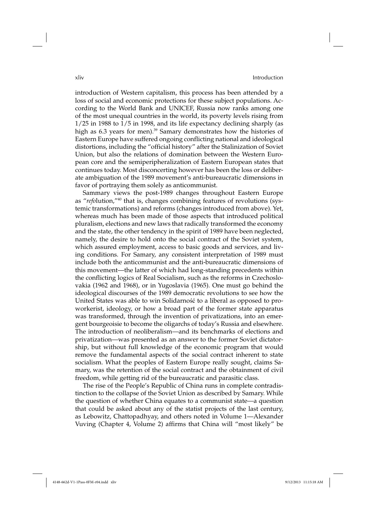#### xliv Introduction

introduction of Western capitalism, this process has been attended by a loss of social and economic protections for these subject populations. According to the World Bank and UNICEF, Russia now ranks among one of the most unequal countries in the world, its poverty levels rising from 1/25 in 1988 to 1/5 in 1998, and its life expectancy declining sharply (as high as 6.3 years for men).<sup>39</sup> Samary demonstrates how the histories of Eastern Europe have suffered ongoing conflicting national and ideological distortions, including the "official history " after the Stalinization of Soviet Union, but also the relations of domination between the Western European core and the semiperipheralization of Eastern European states that continues today. Most disconcerting however has been the loss or deliberate ambiguation of the 1989 movement's anti-bureaucratic dimensions in favor of portraying them solely as anticommunist.

 Sammary views the post-1989 changes throughout Eastern Europe as "*refolution*,"<sup>40</sup> that is, changes combining features of revolutions (systemic transformations) and reforms (changes introduced from above). Yet, whereas much has been made of those aspects that introduced political pluralism, elections and new laws that radically transformed the economy and the state, the other tendency in the spirit of 1989 have been neglected, namely, the desire to hold onto the social contract of the Soviet system, which assured employment, access to basic goods and services, and living conditions. For Samary, any consistent interpretation of 1989 must include both the anticommunist and the anti-bureaucratic dimensions of this movement—the latter of which had long-standing precedents within the conflicting logics of Real Socialism, such as the reforms in Czechoslovakia (1962 and 1968), or in Yugoslavia (1965). One must go behind the ideological discourses of the 1989 democratic revolutions to see how the United States was able to win Solidarność to a liberal as opposed to proworkerist, ideology, or how a broad part of the former state apparatus was transformed, through the invention of privatizations, into an emergent bourgeoisie to become the oligarchs of today's Russia and elsewhere. The introduction of neoliberalism—and its benchmarks of elections and privatization—was presented as an answer to the former Soviet dictatorship, but without full knowledge of the economic program that would remove the fundamental aspects of the social contract inherent to state socialism. What the peoples of Eastern Europe really sought, claims Samary, was the retention of the social contract and the obtainment of civil freedom, while getting rid of the bureaucratic and parasitic class.

 The rise of the People's Republic of China runs in complete contradistinction to the collapse of the Soviet Union as described by Samary. While the question of whether China equates to a communist state—a question that could be asked about any of the statist projects of the last century, as Lebowitz, Chattopadhyay, and others noted in Volume 1—Alexander Vuving (Chapter 4, Volume 2) affirms that China will "most likely " be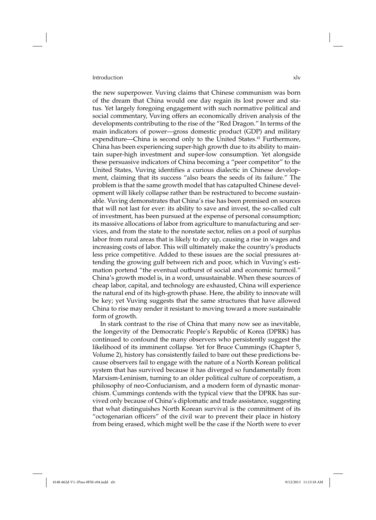#### **Introduction** xlv

the new superpower. Vuving claims that Chinese communism was born of the dream that China would one day regain its lost power and status. Yet largely foregoing engagement with such normative political and social commentary, Vuving offers an economically driven analysis of the developments contributing to the rise of the "Red Dragon." In terms of the main indicators of power—gross domestic product (GDP) and military expenditure—China is second only to the United States.<sup>41</sup> Furthermore, China has been experiencing super-high growth due to its ability to maintain super-high investment and super-low consumption. Yet alongside these persuasive indicators of China becoming a "peer competitor" to the United States, Vuving identifies a curious dialectic in Chinese development, claiming that its success "also bears the seeds of its failure." The problem is that the same growth model that has catapulted Chinese development will likely collapse rather than be restructured to become sustainable. Vuving demonstrates that China's rise has been premised on sources that will not last for ever: its ability to save and invest, the so-called cult of investment, has been pursued at the expense of personal consumption; its massive allocations of labor from agriculture to manufacturing and services, and from the state to the nonstate sector, relies on a pool of surplus labor from rural areas that is likely to dry up, causing a rise in wages and increasing costs of labor. This will ultimately make the country's products less price competitive. Added to these issues are the social pressures attending the growing gulf between rich and poor, which in Vuving's estimation portend "the eventual outburst of social and economic turmoil." China's growth model is, in a word, unsustainable. When these sources of cheap labor, capital, and technology are exhausted, China will experience the natural end of its high-growth phase. Here, the ability to innovate will be key; yet Vuving suggests that the same structures that have allowed China to rise may render it resistant to moving toward a more sustainable form of growth.

 In stark contrast to the rise of China that many now see as inevitable, the longevity of the Democratic People's Republic of Korea (DPRK) has continued to confound the many observers who persistently suggest the likelihood of its imminent collapse. Yet for Bruce Cummings (Chapter 5, Volume 2), history has consistently failed to bare out these predictions because observers fail to engage with the nature of a North Korean political system that has survived because it has diverged so fundamentally from Marxism-Leninism, turning to an older political culture of corporatism, a philosophy of neo-Confucianism, and a modern form of dynastic monarchism. Cummings contends with the typical view that the DPRK has survived only because of China's diplomatic and trade assistance, suggesting that what distinguishes North Korean survival is the commitment of its "octogenarian officers" of the civil war to prevent their place in history from being erased, which might well be the case if the North were to ever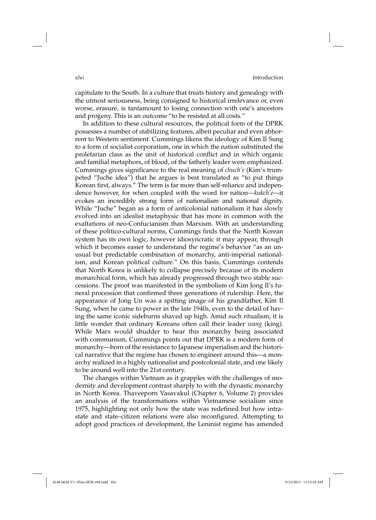#### xlvi Introduction

capitulate to the South. In a culture that treats history and genealogy with the utmost seriousness, being consigned to historical irrelevance or, even worse, erasure, is tantamount to losing connection with one's ancestors and progeny. This is an outcome "to be resisted at all costs."

 In addition to these cultural resources, the political form of the DPRK possesses a number of stabilizing features, albeit peculiar and even abhorrent to Western sentiment. Cummings likens the ideology of Kim Il Sung to a form of socialist corporatism, one in which the nation substituted the proletarian class as the unit of historical conflict and in which organic and familial metaphors, of blood, of the fatherly leader were emphasized. Cummings gives significance to the real meaning of *chuch'e* (Kim's trumpeted "Juche idea") that he argues is best translated as "to put things Korean first, always." The term is far more than self-reliance and independence however, for when coupled with the word for nation—*kukch'e*—it evokes an incredibly strong form of nationalism and national dignity. While "Juche" began as a form of anticolonial nationalism it has slowly evolved into an idealist metaphysic that has more in common with the exaltations of neo-Confucianism than Marxism. With an understanding of these politico-cultural norms, Cummings finds that the North Korean system has its own logic, however idiosyncratic it may appear, through which it becomes easier to understand the regime's behavior "as an unusual but predictable combination of monarchy, anti-imperial nationalism, and Korean political culture." On this basis, Cummings contends that North Korea is unlikely to collapse precisely because of its modern monarchical form, which has already progressed through two stable successions. The proof was manifested in the symbolism of Kim Jong Il's funeral procession that confirmed three generations of rulership. Here, the appearance of Jong Un was a spitting image of his grandfather, Kim Il Sung, when he came to power in the late 1940s, even to the detail of having the same iconic sideburns shaved up high. Amid such ritualism, it is little wonder that ordinary Koreans often call their leader *wang* (king). While Marx would shudder to hear this monarchy being associated with communism, Cummings points out that DPRK is a modern form of monarchy—born of the resistance to Japanese imperialism and the historical narrative that the regime has chosen to engineer around this—a monarchy realized in a highly nationalist and postcolonial state, and one likely to be around well into the 21st century.

 The changes within Vietnam as it grapples with the challenges of modernity and development contrast sharply to with the dynastic monarchy in North Korea. Thaveeporn Vasavakul (Chapter 6, Volume 2) provides an analysis of the transformations within Vietnamese socialism since 1975, highlighting not only how the state was redefined but how intrastate and state–citizen relations were also reconfigured. Attempting to adopt good practices of development, the Leninist regime has amended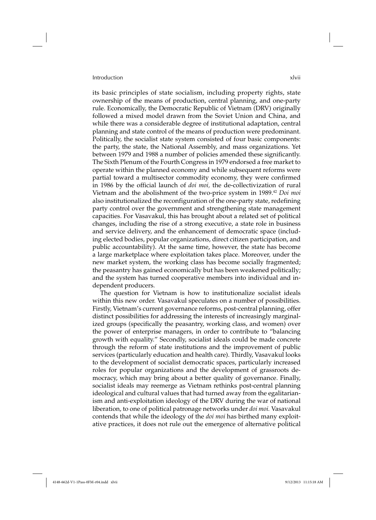#### **Introduction** xlvii and xlvii and xlvii and xlvii and xlvii and xlvii and xlvii and xlvii and xlvii and xlvii

its basic principles of state socialism, including property rights, state ownership of the means of production, central planning, and one-party rule. Economically, the Democratic Republic of Vietnam (DRV) originally followed a mixed model drawn from the Soviet Union and China, and while there was a considerable degree of institutional adaptation, central planning and state control of the means of production were predominant. Politically, the socialist state system consisted of four basic components: the party, the state, the National Assembly, and mass organizations. Yet between 1979 and 1988 a number of policies amended these significantly. The Sixth Plenum of the Fourth Congress in 1979 endorsed a free market to operate within the planned economy and while subsequent reforms were partial toward a multisector commodity economy, they were confirmed in 1986 by the official launch of *doi moi,* the de-collectivization of rural Vietnam and the abolishment of the two-price system in 1989.<sup>42</sup> Doi moi also institutionalized the reconfiguration of the one-party state, redefining party control over the government and strengthening state management capacities. For Vasavakul, this has brought about a related set of political changes, including the rise of a strong executive, a state role in business and service delivery, and the enhancement of democratic space (including elected bodies, popular organizations, direct citizen participation, and public accountability). At the same time, however, the state has become a large marketplace where exploitation takes place. Moreover, under the new market system, the working class has become socially fragmented; the peasantry has gained economically but has been weakened politically; and the system has turned cooperative members into individual and independent producers.

 The question for Vietnam is how to institutionalize socialist ideals within this new order. Vasavakul speculates on a number of possibilities. Firstly, Vietnam's current governance reforms, post-central planning, offer distinct possibilities for addressing the interests of increasingly marginalized groups (specifically the peasantry, working class, and women) over the power of enterprise managers, in order to contribute to "balancing growth with equality." Secondly, socialist ideals could be made concrete through the reform of state institutions and the improvement of public services (particularly education and health care). Thirdly, Vasavakul looks to the development of socialist democratic spaces, particularly increased roles for popular organizations and the development of grassroots democracy, which may bring about a better quality of governance. Finally, socialist ideals may reemerge as Vietnam rethinks post-central planning ideological and cultural values that had turned away from the egalitarianism and anti-exploitation ideology of the DRV during the war of national liberation, to one of political patronage networks under *doi moi.* Vasavakul contends that while the ideology of the *doi moi* has birthed many exploitative practices, it does not rule out the emergence of alternative political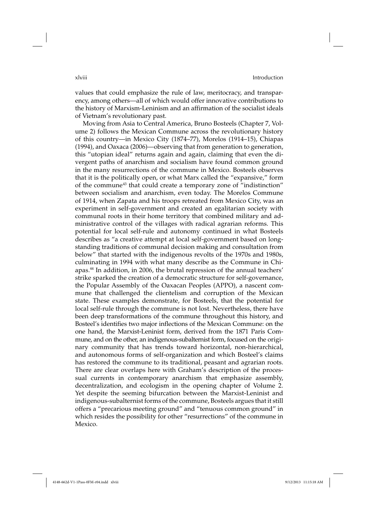#### xlviii Introduction

values that could emphasize the rule of law, meritocracy, and transparency, among others—all of which would offer innovative contributions to the history of Marxism-Leninism and an affirmation of the socialist ideals of Vietnam's revolutionary past.

 Moving from Asia to Central America, Bruno Bosteels (Chapter 7, Volume 2) follows the Mexican Commune across the revolutionary history of this country—in Mexico City (1874–77), Morelos (1914–15), Chiapas (1994), and Oaxaca (2006)—observing that from generation to generation, this "utopian ideal" returns again and again, claiming that even the divergent paths of anarchism and socialism have found common ground in the many resurrections of the commune in Mexico. Bosteels observes that it is the politically open, or what Marx called the "expansive," form of the commune<sup>43</sup> that could create a temporary zone of "indistinction" between socialism and anarchism, even today. The Morelos Commune of 1914, when Zapata and his troops retreated from Mexico City, was an experiment in self-government and created an egalitarian society with communal roots in their home territory that combined military and administrative control of the villages with radical agrarian reforms. This potential for local self-rule and autonomy continued in what Bosteels describes as "a creative attempt at local self-government based on longstanding traditions of communal decision making and consultation from below" that started with the indigenous revolts of the 1970s and 1980s, culminating in 1994 with what many describe as the Commune in Chiapas. 44 In addition, in 2006, the brutal repression of the annual teachers' strike sparked the creation of a democratic structure for self-governance, the Popular Assembly of the Oaxacan Peoples (APPO), a nascent commune that challenged the clientelism and corruption of the Mexican state. These examples demonstrate, for Bosteels, that the potential for local self-rule through the commune is not lost. Nevertheless, there have been deep transformations of the commune throughout this history, and Bosteel's identifies two major inflections of the Mexican Commune: on the one hand, the Marxist-Leninist form, derived from the 1871 Paris Commune, and on the other, an indigenous-subalternist form, focused on the originary community that has trends toward horizontal, non-hierarchical, and autonomous forms of self-organization and which Bosteel's claims has restored the commune to its traditional, peasant and agrarian roots. There are clear overlaps here with Graham's description of the processual currents in contemporary anarchism that emphasize assembly, decentralization, and ecologism in the opening chapter of Volume 2. Yet despite the seeming bifurcation between the Marxist-Leninist and indigenous-subalternist forms of the commune, Bosteels argues that it still offers a "precarious meeting ground" and "tenuous common ground" in which resides the possibility for other "resurrections" of the commune in Mexico.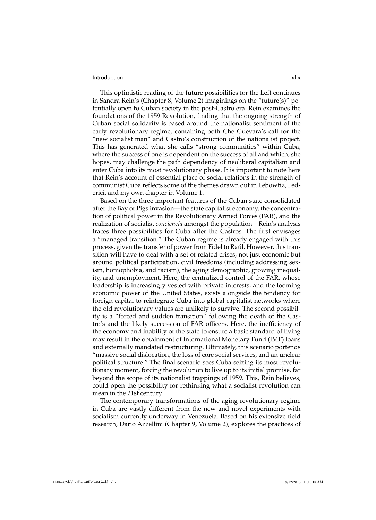#### Introduction xlix

 This optimistic reading of the future possibilities for the Left continues in Sandra Rein's (Chapter 8, Volume 2) imaginings on the "future(s)" potentially open to Cuban society in the post-Castro era. Rein examines the foundations of the 1959 Revolution, finding that the ongoing strength of Cuban social solidarity is based around the nationalist sentiment of the early revolutionary regime, containing both Che Guevara's call for the "new socialist man" and Castro's construction of the nationalist project. This has generated what she calls "strong communities" within Cuba, where the success of one is dependent on the success of all and which, she hopes, may challenge the path dependency of neoliberal capitalism and enter Cuba into its most revolutionary phase. It is important to note here that Rein's account of essential place of social relations in the strength of communist Cuba reflects some of the themes drawn out in Lebowtiz, Federici, and my own chapter in Volume 1.

 Based on the three important features of the Cuban state consolidated after the Bay of Pigs invasion—the state capitalist economy, the concentration of political power in the Revolutionary Armed Forces (FAR), and the realization of socialist *conciencia* amongst the population—Rein's analysis traces three possibilities for Cuba after the Castros. The first envisages a "managed transition." The Cuban regime is already engaged with this process, given the transfer of power from Fidel to Raúl. However, this transition will have to deal with a set of related crises, not just economic but around political participation, civil freedoms (including addressing sexism, homophobia, and racism), the aging demographic, growing inequality, and unemployment. Here, the centralized control of the FAR, whose leadership is increasingly vested with private interests, and the looming economic power of the United States, exists alongside the tendency for foreign capital to reintegrate Cuba into global capitalist networks where the old revolutionary values are unlikely to survive. The second possibility is a "forced and sudden transition" following the death of the Castro's and the likely succession of FAR officers. Here, the inefficiency of the economy and inability of the state to ensure a basic standard of living may result in the obtainment of International Monetary Fund (IMF) loans and externally mandated restructuring. Ultimately, this scenario portends "massive social dislocation, the loss of core social services, and an unclear political structure." The final scenario sees Cuba seizing its most revolutionary moment, forcing the revolution to live up to its initial promise, far beyond the scope of its nationalist trappings of 1959. This, Rein believes, could open the possibility for rethinking what a socialist revolution can mean in the 21st century.

 The contemporary transformations of the aging revolutionary regime in Cuba are vastly different from the new and novel experiments with socialism currently underway in Venezuela. Based on his extensive field research, Dario Azzellini (Chapter 9, Volume 2), explores the practices of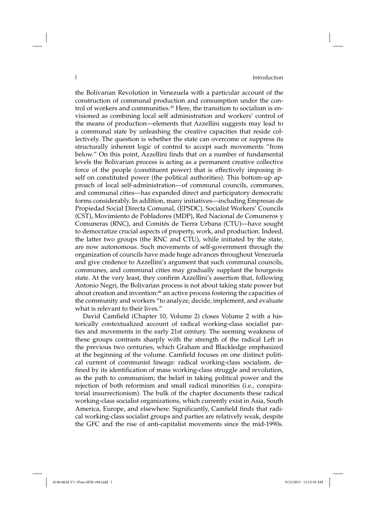#### l introduction and the set of the set of the set of the set of the set of the set of the set of the set of the set of the set of the set of the set of the set of the set of the set of the set of the set of the set of the s

the Bolivarian Revolution in Venezuela with a particular account of the construction of communal production and consumption under the control of workers and communities. 45 Here, the transition to socialism is envisioned as combining local self administration and workers' control of the means of production—elements that Azzellini suggests may lead to a communal state by unleashing the creative capacities that reside collectively. The question is whether the state can overcome or suppress its structurally inherent logic of control to accept such movements "from below." On this point, Azzellini finds that on a number of fundamental levels the Bolivarian process is acting as a permanent creative collective force of the people (constituent power) that is effectively imposing itself on constituted power (the political authorities). This bottom-up approach of local self-administration—of communal councils, communes, and communal cities—has expanded direct and participatory democratic forms considerably. In addition, many initiatives—including Empresas de Propiedad Social Directa Comunal, (EPSDC), Socialist Workers' Councils (CST), Movimiento de Pobladores (MDP), Red Nacional de Comuneros y Comuneras (RNC), and Comités de Tierra Urbana (CTU)—have sought to democratize crucial aspects of property, work, and production. Indeed, the latter two groups (the RNC and CTU), while initiated by the state, are now autonomous. Such movements of self-government through the organization of councils have made huge advances throughout Venezuela and give credence to Azzellini's argument that such communal councils, communes, and communal cities may gradually supplant the bourgeois state. At the very least, they confirm Azzellini's assertion that, following Antonio Negri, the Bolivarian process is not about taking state power but about creation and invention:<sup>46</sup> an active process fostering the capacities of the community and workers "to analyze, decide, implement, and evaluate what is relevant to their lives."

 David Camfield (Chapter 10, Volume 2) closes Volume 2 with a historically contextualized account of radical working-class socialist parties and movements in the early 21st century. The seeming weakness of these groups contrasts sharply with the strength of the radical Left in the previous two centuries, which Graham and Blackledge emphasized at the beginning of the volume. Camfield focuses on one distinct political current of communist lineage: radical working-class socialism, defined by its identification of mass working-class struggle and revolution, as the path to communism; the belief in taking political power and the rejection of both reformism and small radical minorities (i.e., conspiratorial insurrectionism). The bulk of the chapter documents these radical working-class socialist organizations, which currently exist in Asia, South America, Europe, and elsewhere. Significantly, Camfield finds that radical working-class socialist groups and parties are relatively weak, despite the GFC and the rise of anti-capitalist movements since the mid-1990s.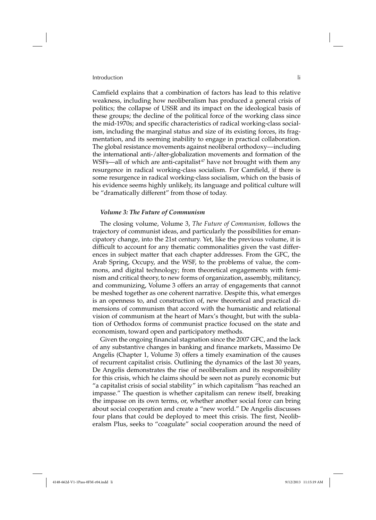#### **Introduction** like the set of the set of the set of the set of the set of the set of the set of the set of the set of the set of the set of the set of the set of the set of the set of the set of the set of the set of the

Camfield explains that a combination of factors has lead to this relative weakness, including how neoliberalism has produced a general crisis of politics; the collapse of USSR and its impact on the ideological basis of these groups; the decline of the political force of the working class since the mid-1970s; and specific characteristics of radical working-class socialism, including the marginal status and size of its existing forces, its fragmentation, and its seeming inability to engage in practical collaboration. The global resistance movements against neoliberal orthodoxy—including the international anti-/alter-globalization movements and formation of the WSFs—all of which are anti-capitalist<sup>47</sup> have not brought with them any resurgence in radical working-class socialism. For Camfield, if there is some resurgence in radical working-class socialism, which on the basis of his evidence seems highly unlikely, its language and political culture will be "dramatically different" from those of today.

#### *Volume 3: The Future of Communism*

 The closing volume, Volume 3, *The Future of Communism,* follows the trajectory of communist ideas, and particularly the possibilities for emancipatory change, into the 21st century. Yet, like the previous volume, it is difficult to account for any thematic commonalities given the vast differences in subject matter that each chapter addresses. From the GFC, the Arab Spring, Occupy, and the WSF, to the problems of value, the commons, and digital technology; from theoretical engagements with feminism and critical theory, to new forms of organization, assembly, militancy, and communizing, Volume 3 offers an array of engagements that cannot be meshed together as one coherent narrative. Despite this, what emerges is an openness to, and construction of, new theoretical and practical dimensions of communism that accord with the humanistic and relational vision of communism at the heart of Marx's thought, but with the sublation of Orthodox forms of communist practice focused on the state and economism, toward open and participatory methods.

 Given the ongoing financial stagnation since the 2007 GFC, and the lack of any substantive changes in banking and finance markets, Massimo De Angelis (Chapter 1, Volume 3) offers a timely examination of the causes of recurrent capitalist crisis. Outlining the dynamics of the last 30 years, De Angelis demonstrates the rise of neoliberalism and its responsibility for this crisis, which he claims should be seen not as purely economic but "a capitalist crisis of social stability" in which capitalism "has reached an impasse." The question is whether capitalism can renew itself, breaking the impasse on its own terms, or, whether another social force can bring about social cooperation and create a "new world." De Angelis discusses four plans that could be deployed to meet this crisis. The first, Neoliberalsm Plus, seeks to "coagulate" social cooperation around the need of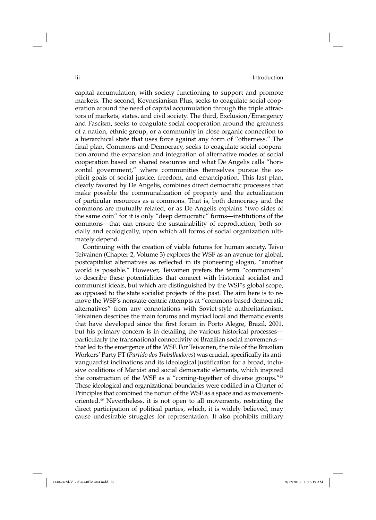#### lii Introduction

capital accumulation, with society functioning to support and promote markets. The second, Keynesianism Plus, seeks to coagulate social cooperation around the need of capital accumulation through the triple attractors of markets, states, and civil society. The third, Exclusion/Emergency and Fascism, seeks to coagulate social cooperation around the greatness of a nation, ethnic group, or a community in close organic connection to a hierarchical state that uses force against any form of "otherness." The final plan, Commons and Democracy, seeks to coagulate social cooperation around the expansion and integration of alternative modes of social cooperation based on shared resources and what De Angelis calls "horizontal government," where communities themselves pursue the explicit goals of social justice, freedom, and emancipation. This last plan, clearly favored by De Angelis, combines direct democratic processes that make possible the communalization of property and the actualization of particular resources as a commons. That is, both democracy and the commons are mutually related, or as De Angelis explains "two sides of the same coin" for it is only "deep democratic" forms—institutions of the commons—that can ensure the sustainability of reproduction, both socially and ecologically, upon which all forms of social organization ultimately depend.

 Continuing with the creation of viable futures for human society, Teivo Teivainen (Chapter 2, Volume 3) explores the WSF as an avenue for global, postcapitalist alternatives as reflected in its pioneering slogan, "another world is possible." However, Teivainen prefers the term "commonism" to describe these potentialities that connect with historical socialist and communist ideals, but which are distinguished by the WSF's global scope, as opposed to the state socialist projects of the past. The aim here is to remove the WSF's nonstate-centric attempts at "commons-based democratic alternatives" from any connotations with Soviet-style authoritarianism. Teivainen describes the main forums and myriad local and thematic events that have developed since the first forum in Porto Alegre, Brazil, 2001, but his primary concern is in detailing the various historical processesparticularly the transnational connectivity of Brazilian social movements that led to the emergence of the WSF. For Teivainen, the role of the Brazilian Workers' Party PT ( *Partido dos Trabalhadores* ) was crucial, specifically its antivanguardist inclinations and its ideological justification for a broad, inclusive coalitions of Marxist and social democratic elements, which inspired the construction of the WSF as a "coming-together of diverse groups."<sup>48</sup> These ideological and organizational boundaries were codified in a Charter of Principles that combined the notion of the WSF as a space and as movementoriented.<sup>49</sup> Nevertheless, it is not open to all movements, restricting the direct participation of political parties, which, it is widely believed, may cause undesirable struggles for representation. It also prohibits military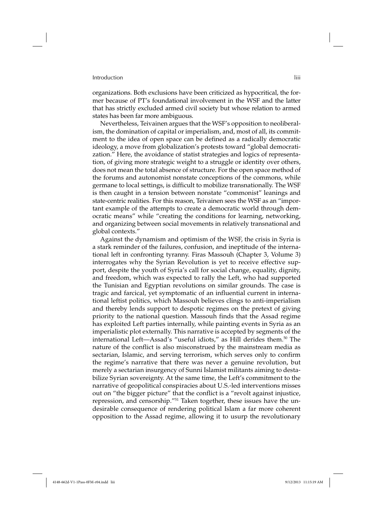#### Introduction liii

organizations. Both exclusions have been criticized as hypocritical, the former because of PT's foundational involvement in the WSF and the latter that has strictly excluded armed civil society but whose relation to armed states has been far more ambiguous.

 Nevertheless, Teivainen argues that the WSF's opposition to neoliberalism, the domination of capital or imperialism, and, most of all, its commitment to the idea of open space can be defined as a radically democratic ideology, a move from globalization's protests toward "global democratization." Here, the avoidance of statist strategies and logics of representation, of giving more strategic weight to a struggle or identity over others, does not mean the total absence of structure. For the open space method of the forums and autonomist nonstate conceptions of the commons, while germane to local settings, is difficult to mobilize transnationally. The WSF is then caught in a tension between nonstate "commonist" leanings and state-centric realities. For this reason, Teivainen sees the WSF as an "important example of the attempts to create a democratic world through democratic means" while "creating the conditions for learning, networking, and organizing between social movements in relatively transnational and global contexts."

 Against the dynamism and optimism of the WSF, the crisis in Syria is a stark reminder of the failures, confusion, and ineptitude of the international left in confronting tyranny. Firas Massouh (Chapter 3, Volume 3) interrogates why the Syrian Revolution is yet to receive effective support, despite the youth of Syria's call for social change, equality, dignity, and freedom, which was expected to rally the Left, who had supported the Tunisian and Egyptian revolutions on similar grounds. The case is tragic and farcical, yet symptomatic of an influential current in international leftist politics, which Massouh believes clings to anti-imperialism and thereby lends support to despotic regimes on the pretext of giving priority to the national question. Massouh finds that the Assad regime has exploited Left parties internally, while painting events in Syria as an imperialistic plot externally. This narrative is accepted by segments of the international Left—Assad's "useful idiots," as Hill derides them. 50 The nature of the conflict is also misconstrued by the mainstream media as sectarian, Islamic, and serving terrorism, which serves only to confirm the regime's narrative that there was never a genuine revolution, but merely a sectarian insurgency of Sunni Islamist militants aiming to destabilize Syrian sovereignty. At the same time, the Left's commitment to the narrative of geopolitical conspiracies about U.S.-led interventions misses out on "the bigger picture" that the conflict is a "revolt against injustice, repression, and censorship.<sup>"51</sup> Taken together, these issues have the undesirable consequence of rendering political Islam a far more coherent opposition to the Assad regime, allowing it to usurp the revolutionary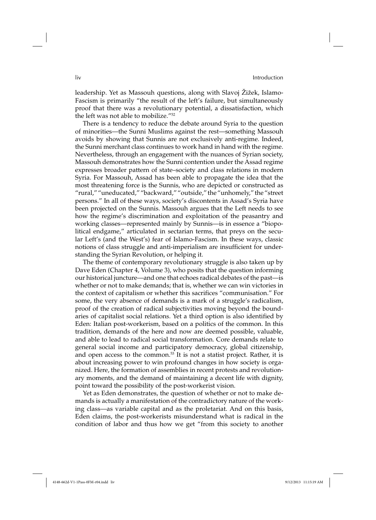leadership. Yet as Massouh questions, along with Slavoj Žižek, Islamo-Fascism is primarily "the result of the left's failure, but simultaneously proof that there was a revolutionary potential, a dissatisfaction, which the left was not able to mobilize."<sup>52</sup>

 There is a tendency to reduce the debate around Syria to the question of minorities—the Sunni Muslims against the rest—something Massouh avoids by showing that Sunnis are not exclusively anti-regime. Indeed, the Sunni merchant class continues to work hand in hand with the regime. Nevertheless, through an engagement with the nuances of Syrian society, Massouh demonstrates how the Sunni contention under the Assad regime expresses broader pattern of state–society and class relations in modern Syria. For Massouh, Assad has been able to propagate the idea that the most threatening force is the Sunnis, who are depicted or constructed as "rural," "uneducated," "backward," "outside," the "unhomely," the "street persons." In all of these ways, society's discontents in Assad's Syria have been projected on the Sunnis. Massouh argues that the Left needs to see how the regime's discrimination and exploitation of the peasantry and working classes—represented mainly by Sunnis—is in essence a "biopolitical endgame," articulated in sectarian terms, that preys on the secular Left's (and the West's) fear of Islamo-Fascism. In these ways, classic notions of class struggle and anti-imperialism are insufficient for understanding the Syrian Revolution, or helping it.

 The theme of contemporary revolutionary struggle is also taken up by Dave Eden (Chapter 4, Volume 3), who posits that the question informing our historical juncture—and one that echoes radical debates of the past—is whether or not to make demands; that is, whether we can win victories in the context of capitalism or whether this sacrifices "communisation." For some, the very absence of demands is a mark of a struggle's radicalism, proof of the creation of radical subjectivities moving beyond the boundaries of capitalist social relations. Yet a third option is also identified by Eden: Italian post-workerism, based on a politics of the common. In this tradition, demands of the here and now are deemed possible, valuable, and able to lead to radical social transformation. Core demands relate to general social income and participatory democracy, global citizenship, and open access to the common.<sup>53</sup> It is not a statist project. Rather, it is about increasing power to win profound changes in how society is organized. Here, the formation of assemblies in recent protests and revolutionary moments, and the demand of maintaining a decent life with dignity, point toward the possibility of the post-workerist vision.

 Yet as Eden demonstrates, the question of whether or not to make demands is actually a manifestation of the contradictory nature of the working class—as variable capital and as the proletariat. And on this basis, Eden claims, the post-workerists misunderstand what is radical in the condition of labor and thus how we get "from this society to another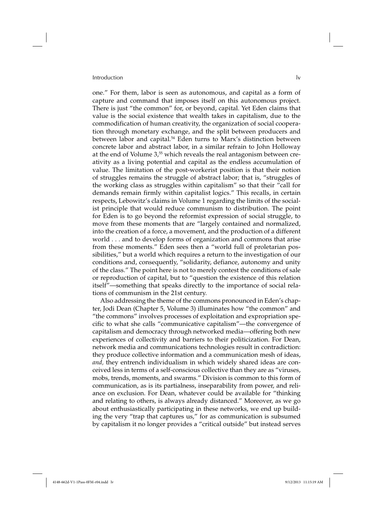#### Introduction lv

one." For them, labor is seen as autonomous, and capital as a form of capture and command that imposes itself on this autonomous project. There is just "the common" for, or beyond, capital. Yet Eden claims that value is the social existence that wealth takes in capitalism, due to the commodification of human creativity, the organization of social cooperation through monetary exchange, and the split between producers and between labor and capital.<sup>54</sup> Eden turns to Marx's distinction between concrete labor and abstract labor, in a similar refrain to John Holloway at the end of Volume  $3<sub>55</sub>$  which reveals the real antagonism between creativity as a living potential and capital as the endless accumulation of value. The limitation of the post-workerist position is that their notion of struggles remains the struggle of abstract labor; that is, "struggles of the working class as struggles within capitalism" so that their "call for demands remain firmly within capitalist logics." This recalls, in certain respects, Lebowitz's claims in Volume 1 regarding the limits of the socialist principle that would reduce communism to distribution. The point for Eden is to go beyond the reformist expression of social struggle, to move from these moments that are "largely contained and normalized, into the creation of a force, a movement, and the production of a different world . . . and to develop forms of organization and commons that arise from these moments." Eden sees then a "world full of proletarian possibilities," but a world which requires a return to the investigation of our conditions and, consequently, "solidarity, defiance, autonomy and unity of the class." The point here is not to merely contest the conditions of sale or reproduction of capital, but to "question the existence of this relation itself"—something that speaks directly to the importance of social relations of communism in the 21st century.

 Also addressing the theme of the commons pronounced in Eden's chapter, Jodi Dean (Chapter 5, Volume 3) illuminates how "the common" and "the commons" involves processes of exploitation and expropriation specific to what she calls "communicative capitalism"—the convergence of capitalism and democracy through networked media—offering both new experiences of collectivity and barriers to their politicization. For Dean, network media and communications technologies result in contradiction: they produce collective information and a communication mesh of ideas, *and,* they entrench individualism in which widely shared ideas are conceived less in terms of a self-conscious collective than they are as "viruses, mobs, trends, moments, and swarms." Division is common to this form of communication, as is its partialness, inseparability from power, and reliance on exclusion. For Dean, whatever could be available for "thinking and relating to others, is always already distanced." Moreover, as we go about enthusiastically participating in these networks, we end up building the very "trap that captures us," for as communication is subsumed by capitalism it no longer provides a "critical outside" but instead serves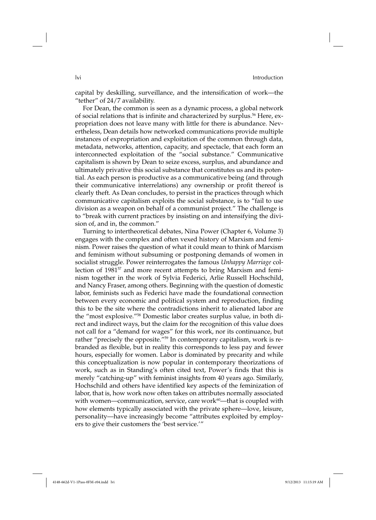#### lvi Introduction

capital by deskilling, surveillance, and the intensification of work—the "tether" of 24/7 availability.

 For Dean, the common is seen as a dynamic process, a global network of social relations that is infinite and characterized by surplus.<sup>56</sup> Here, expropriation does not leave many with little for there is abundance. Nevertheless, Dean details how networked communications provide multiple instances of expropriation and exploitation of the common through data, metadata, networks, attention, capacity, and spectacle, that each form an interconnected exploitation of the "social substance." Communicative capitalism is shown by Dean to seize excess, surplus, and abundance and ultimately privative this social substance that constitutes us and its potential. As each person is productive as a communicative being (and through their communicative interrelations) any ownership or profit thereof is clearly theft. As Dean concludes, to persist in the practices through which communicative capitalism exploits the social substance, is to "fail to use division as a weapon on behalf of a communist project." The challenge is to "break with current practices by insisting on and intensifying the division of, and in, the common."

 Turning to intertheoretical debates, Nina Power (Chapter 6, Volume 3) engages with the complex and often vexed history of Marxism and feminism. Power raises the question of what it could mean to think of Marxism and feminism without subsuming or postponing demands of women in socialist struggle. Power reinterrogates the famous *Unhappy Marriage* collection of  $1981^{57}$  and more recent attempts to bring Marxism and feminism together in the work of Sylvia Federici, Arlie Russell Hochschild, and Nancy Fraser, among others. Beginning with the question of domestic labor, feminists such as Federici have made the foundational connection between every economic and political system and reproduction, finding this to be the site where the contradictions inherit to alienated labor are the "most explosive."<sup>58</sup> Domestic labor creates surplus value, in both direct and indirect ways, but the claim for the recognition of this value does not call for a "demand for wages" for this work, nor its continuance, but rather "precisely the opposite.<sup>"59</sup> In contemporary capitalism, work is rebranded as flexible, but in reality this corresponds to less pay and fewer hours, especially for women. Labor is dominated by precarity and while this conceptualization is now popular in contemporary theorizations of work, such as in Standing's often cited text, Power's finds that this is merely "catching-up" with feminist insights from 40 years ago. Similarly, Hochschild and others have identified key aspects of the feminization of labor, that is, how work now often takes on attributes normally associated with women—communication, service, care work $\omega$ —that is coupled with how elements typically associated with the private sphere—love, leisure, personality—have increasingly become "attributes exploited by employers to give their customers the 'best service.' "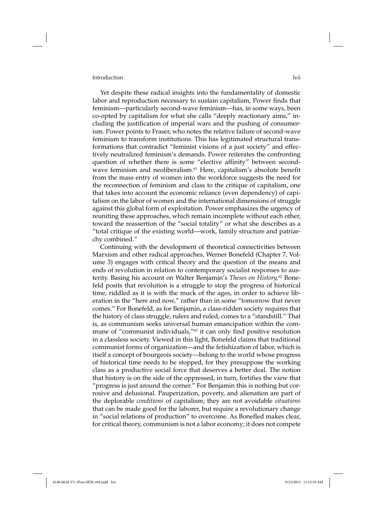#### **Introduction** lyields and lyields and lyields and lyields and lyields and lyields and lyields and lyields and lyields and lyields and lyields and lyields and lyields and lyields and lyields and lyields and lyields and lyi

 Yet despite these radical insights into the fundamentality of domestic labor and reproduction necessary to sustain capitalism, Power finds that feminism—particularly second-wave feminism—has, in some ways, been co-opted by capitalism for what she calls "deeply reactionary aims," including the justification of imperial wars and the pushing of consumerism. Power points to Fraser, who notes the relative failure of second-wave feminism to transform institutions. This has legitimated structural transformations that contradict "feminist visions of a just society" and effectively neutralized feminism's demands. Power reiterates the confronting question of whether there is some "elective affinity" between secondwave feminism and neoliberalism.<sup>61</sup> Here, capitalism's absolute benefit from the mass entry of women into the workforce suggests the need for the reconnection of feminism and class to the critique of capitalism, one that takes into account the economic reliance (even dependency) of capitalism on the labor of women and the international dimensions of struggle against this global form of exploitation. Power emphasizes the urgency of reuniting these approaches, which remain incomplete without each other, toward the reassertion of the "social totality" or what she describes as a "total critique of the existing world—work, family structure and patriarchy combined."

 Continuing with the development of theoretical connectivities between Marxism and other radical approaches, Werner Bonefeld (Chapter 7, Volume 3) engages with critical theory and the question of the means and ends of revolution in relation to contemporary socialist responses to austerity. Basing his account on Walter Benjamin's *Theses on History,*62 Bonefeld posits that revolution is a struggle to stop the progress of historical time, riddled as it is with the muck of the ages, in order to achieve liberation in the "here and now," rather than in some "tomorrow that never comes." For Bonefeld, as for Benjamin, a class-ridden society requires that the history of class struggle, rulers and ruled, comes to a "standstill." That is, as communism seeks universal human emancipation within the commune of "communist individuals,"<sup>63</sup> it can only find positive resolution in a classless society. Viewed in this light, Bonefeld claims that traditional communist forms of organization—and the fetishization of labor, which is itself a concept of bourgeois society—belong to the world whose progress of historical time needs to be stopped, for they presuppose the working class as a productive social force that deserves a better deal. The notion that history is on the side of the oppressed, in turn, fortifies the view that "progress is just around the corner." For Benjamin this is nothing but corrosive and delusional. Pauperization, poverty, and alienation are part of the deplorable *conditions* of capitalism; they are not avoidable *situations* that can be made good for the laborer, but require a revolutionary change in "social relations of production" to overcome. As Bonefled makes clear, for critical theory, communism is not a labor economy; it does not compete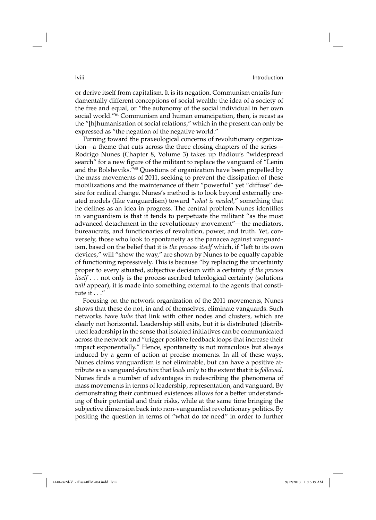#### lviii Introduction

or derive itself from capitalism. It is its negation. Communism entails fundamentally different conceptions of social wealth: the idea of a society of the free and equal, or "the autonomy of the social individual in her own social world."<sup>64</sup> Communism and human emancipation, then, is recast as the "[h]humanisation of social relations," which in the present can only be expressed as "the negation of the negative world."

 Turning toward the praxeological concerns of revolutionary organization—a theme that cuts across the three closing chapters of the series— Rodrigo Nunes (Chapter 8, Volume 3) takes up Badiou's "widespread search" for a new figure of the militant to replace the vanguard of "Lenin and the Bolsheviks."<sup>65</sup> Questions of organization have been propelled by the mass movements of 2011, seeking to prevent the dissipation of these mobilizations and the maintenance of their "powerful" yet "diffuse" desire for radical change. Nunes's method is to look beyond externally created models (like vanguardism) toward " *what is needed,* " something that he defines as an idea in progress. The central problem Nunes identifies in vanguardism is that it tends to perpetuate the militant "as the most advanced detachment in the revolutionary movement"—the mediators, bureaucrats, and functionaries of revolution, power, and truth. Yet, conversely, those who look to spontaneity as the panacea against vanguardism, based on the belief that it is *the process itself* which, if "left to its own devices," will "show the way," are shown by Nunes to be equally capable of functioning repressively. This is because "by replacing the uncertainty proper to every situated, subjective decision with a certainty *of the process itself* . . . not only is the process ascribed teleological certainty (solutions *will* appear), it is made into something external to the agents that constitute it . . ."

 Focusing on the network organization of the 2011 movements, Nunes shows that these do not, in and of themselves, eliminate vanguards. Such networks have *hubs* that link with other nodes and clusters, which are clearly not horizontal. Leadership still exits, but it is distributed (distributed leadership) in the sense that isolated initiatives can be communicated across the network and "trigger positive feedback loops that increase their impact exponentially." Hence, spontaneity is not miraculous but always induced by a germ of action at precise moments. In all of these ways, Nunes claims vanguardism is not eliminable, but can have a positive attribute as a vanguard- *function* that *leads* only to the extent that it is *followed.* Nunes finds a number of advantages in redescribing the phenomena of mass movements in terms of leadership, representation, and vanguard. By demonstrating their continued existences allows for a better understanding of their potential and their risks, while at the same time bringing the subjective dimension back into non-vanguardist revolutionary politics. By positing the question in terms of "what do *we* need" in order to further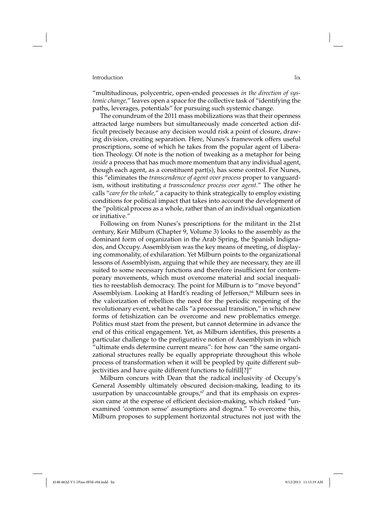#### **Introduction** lix

"multitudinous, polycentric, open-ended processes *in the direction of systemic change,* " leaves open a space for the collective task of "identifying the paths, leverages, potentials" for pursuing such systemic change.

 The conundrum of the 2011 mass mobilizations was that their openness attracted large numbers but simultaneously made concerted action difficult precisely because any decision would risk a point of closure, drawing division, creating separation. Here, Nunes's framework offers useful proscriptions, some of which he takes from the popular agent of Liberation Theology. Of note is the notion of tweaking as a metaphor for being *inside* a process that has much more momentum that any individual agent, though each agent, as a constituent part(s), has some control. For Nunes, this "eliminates the *transcendence of agent over process* proper to vanguardism, without instituting *a transcendence process over agent.* " The other he calls " *care for the whole,* " a capacity to think strategically to employ existing conditions for political impact that takes into account the development of the "political process as a whole, rather than of an individual organization or initiative."

 Following on from Nunes's prescriptions for the militant in the 21st century, Keir Milburn (Chapter 9, Volume 3) looks to the assembly as the dominant form of organization in the Arab Spring, the Spanish Indignados, and Occupy. Assemblyism was the key means of meeting, of displaying commonality, of exhilaration. Yet Milburn points to the organizational lessons of Assemblyism, arguing that while they are necessary, they are ill suited to some necessary functions and therefore insufficient for contemporary movements, which must overcome material and social inequalities to reestablish democracy. The point for Milburn is to "move beyond" Assemblyism. Looking at Hardt's reading of Jefferson,<sup>66</sup> Milburn sees in the valorization of rebellion the need for the periodic reopening of the revolutionary event, what he calls "a processual transition," in which new forms of fetishization can be overcome and new problematics emerge. Politics must start from the present, but cannot determine in advance the end of this critical engagement. Yet, as Milburn identifies, this presents a particular challenge to the prefigurative notion of Assemblyism in which "ultimate ends determine current means": for how can "the same organizational structures really be equally appropriate throughout this whole process of transformation when it will be peopled by quite different subjectivities and have quite different functions to fulfill[?]"

 Milburn concurs with Dean that the radical inclusivity of Occupy's General Assembly ultimately obscured decision-making, leading to its usurpation by unaccountable groups, $67$  and that its emphasis on expression came at the expense of efficient decision-making, which risked "unexamined 'common sense' assumptions and dogma." To overcome this, Milburn proposes to supplement horizontal structures not just with the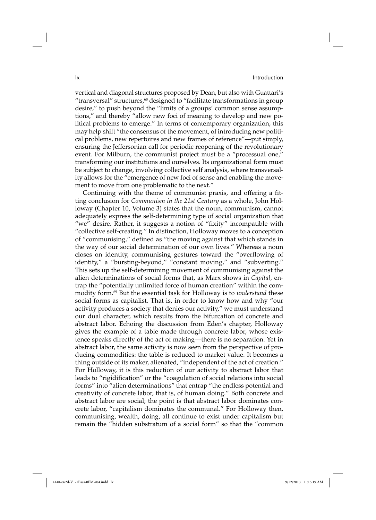#### lx Introduction

vertical and diagonal structures proposed by Dean, but also with Guattari's "transversal" structures,<sup>68</sup> designed to "facilitate transformations in group desire," to push beyond the "limits of a groups' common sense assumptions," and thereby "allow new foci of meaning to develop and new political problems to emerge." In terms of contemporary organization, this may help shift "the consensus of the movement, of introducing new political problems, new repertoires and new frames of reference"—put simply, ensuring the Jeffersonian call for periodic reopening of the revolutionary event. For Milburn, the communist project must be a "processual one," transforming our institutions and ourselves. Its organizational form must be subject to change, involving collective self analysis, where transversality allows for the "emergence of new foci of sense and enabling the movement to move from one problematic to the next."

 Continuing with the theme of communist praxis, and offering a fitting conclusion for *Communism in the 21st Century* as a whole, John Holloway (Chapter 10, Volume 3) states that the noun, communism, cannot adequately express the self-determining type of social organization that "we" desire. Rather, it suggests a notion of "fixity" incompatible with "collective self-creating." In distinction, Holloway moves to a conception of "communising," defined as "the moving against that which stands in the way of our social determination of our own lives." Whereas a noun closes on identity, communising gestures toward the "overflowing of identity," a "bursting-beyond," "constant moving," and "subverting." This sets up the self-determining movement of communising against the alien determinations of social forms that, as Marx shows in *Capital,* entrap the "potentially unlimited force of human creation" within the commodity form. 69 But the essential task for Holloway is to *understand* these social forms as capitalist. That is, in order to know how and why "our activity produces a society that denies our activity," we must understand our dual character, which results from the bifurcation of concrete and abstract labor. Echoing the discussion from Eden's chapter, Holloway gives the example of a table made through concrete labor, whose existence speaks directly of the act of making—there is no separation. Yet in abstract labor, the same activity is now seen from the perspective of producing commodities: the table is reduced to market value. It becomes a thing outside of its maker, alienated, "independent of the act of creation." For Holloway, it is this reduction of our activity to abstract labor that leads to "rigidification" or the "coagulation of social relations into social forms" into "alien determinations" that entrap "the endless potential and creativity of concrete labor, that is, of human doing." Both concrete and abstract labor are social; the point is that abstract labor dominates concrete labor, "capitalism dominates the communal." For Holloway then, communising, wealth, doing, all continue to exist under capitalism but remain the "hidden substratum of a social form" so that the "common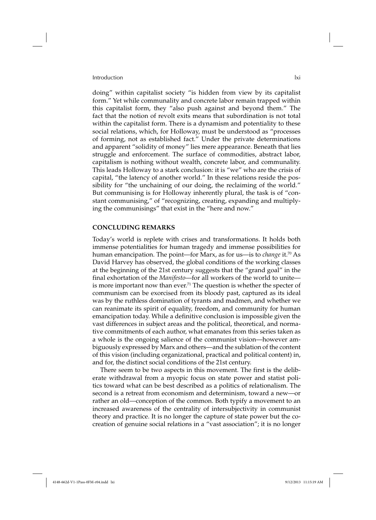#### **Introduction** lxi

doing" within capitalist society "is hidden from view by its capitalist form." Yet while communality and concrete labor remain trapped within this capitalist form, they "also push against and beyond them." The fact that the notion of revolt exits means that subordination is not total within the capitalist form. There is a dynamism and potentiality to these social relations, which, for Holloway, must be understood as "processes of forming, not as established fact." Under the private determinations and apparent "solidity of money " lies mere appearance. Beneath that lies struggle and enforcement. The surface of commodities, abstract labor, capitalism is nothing without wealth, concrete labor, and communality. This leads Holloway to a stark conclusion: it is "we" who are the crisis of capital, "the latency of another world." In these relations reside the possibility for "the unchaining of our doing, the reclaiming of the world." But communising is for Holloway inherently plural, the task is of "constant communising," of "recognizing, creating, expanding and multiplying the communisings" that exist in the "here and now."

#### **CONCLUDING REMARKS**

 Today's world is replete with crises and transformations. It holds both immense potentialities for human tragedy and immense possibilities for human emancipation. The point—for Marx, as for us—is to *change* it. 70 As David Harvey has observed, the global conditions of the working classes at the beginning of the 21st century suggests that the "grand goal" in the final exhortation of the *Manifesto*—for all workers of the world to unite is more important now than ever.<sup> $71$ </sup> The question is whether the specter of communism can be exorcised from its bloody past, captured as its ideal was by the ruthless domination of tyrants and madmen, and whether we can reanimate its spirit of equality, freedom, and community for human emancipation today. While a definitive conclusion is impossible given the vast differences in subject areas and the political, theoretical, and normative commitments of each author, what emanates from this series taken as a whole is the ongoing salience of the communist vision—however ambiguously expressed by Marx and others—and the sublation of the content of this vision (including organizational, practical and political content) in, and for, the distinct social conditions of the 21st century.

 There seem to be two aspects in this movement. The first is the deliberate withdrawal from a myopic focus on state power and statist politics toward what can be best described as a politics of relationalism. The second is a retreat from economism and determinism, toward a new—or rather an old—conception of the common. Both typify a movement to an increased awareness of the centrality of intersubjectivity in communist theory and practice. It is no longer the capture of state power but the cocreation of genuine social relations in a "vast association"; it is no longer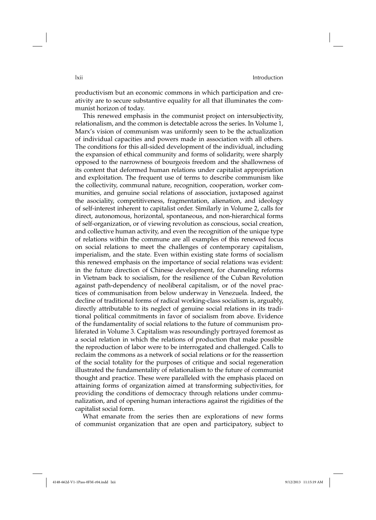#### lxii Introduction

productivism but an economic commons in which participation and creativity are to secure substantive equality for all that illuminates the communist horizon of today.

 This renewed emphasis in the communist project on intersubjectivity, relationalism, and the common is detectable across the series. In Volume 1, Marx's vision of communism was uniformly seen to be the actualization of individual capacities and powers made in association with all others. The conditions for this all-sided development of the individual, including the expansion of ethical community and forms of solidarity, were sharply opposed to the narrowness of bourgeois freedom and the shallowness of its content that deformed human relations under capitalist appropriation and exploitation. The frequent use of terms to describe communism like the collectivity, communal nature, recognition, cooperation, worker communities, and genuine social relations of association, juxtaposed against the asociality, competitiveness, fragmentation, alienation, and ideology of self-interest inherent to capitalist order. Similarly in Volume 2, calls for direct, autonomous, horizontal, spontaneous, and non-hierarchical forms of self-organization, or of viewing revolution as conscious, social creation, and collective human activity, and even the recognition of the unique type of relations within the commune are all examples of this renewed focus on social relations to meet the challenges of contemporary capitalism, imperialism, and the state. Even within existing state forms of socialism this renewed emphasis on the importance of social relations was evident: in the future direction of Chinese development, for channeling reforms in Vietnam back to socialism, for the resilience of the Cuban Revolution against path-dependency of neoliberal capitalism, or of the novel practices of communisation from below underway in Venezuela. Indeed, the decline of traditional forms of radical working-class socialism is, arguably, directly attributable to its neglect of genuine social relations in its traditional political commitments in favor of socialism from above. Evidence of the fundamentality of social relations to the future of communism proliferated in Volume 3. Capitalism was resoundingly portrayed foremost as a social relation in which the relations of production that make possible the reproduction of labor were to be interrogated and challenged. Calls to reclaim the commons as a network of social relations or for the reassertion of the social totality for the purposes of critique and social regeneration illustrated the fundamentality of relationalism to the future of communist thought and practice. These were paralleled with the emphasis placed on attaining forms of organization aimed at transforming subjectivities, for providing the conditions of democracy through relations under communalization, and of opening human interactions against the rigidities of the capitalist social form.

 What emanate from the series then are explorations of new forms of communist organization that are open and participatory, subject to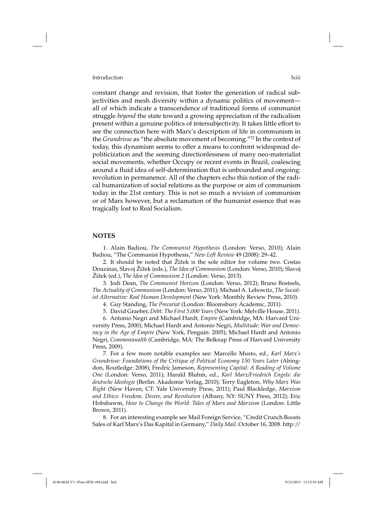#### Introduction later and the contract of the contract of the contract of the later states of the later states of the later states of the later states of the later states of the later states of the later states of the later s

constant change and revision, that foster the generation of radical subjectivities and mesh diversity within a dynamic politics of movement all of which indicate a transcendence of traditional forms of communist struggle *beyond* the state toward a growing appreciation of the radicalism present within a genuine politics of intersubjectivity. It takes little effort to see the connection here with Marx's description of life in communism in the *Grundrisse* as "the absolute movement of becoming."<sup>72</sup> In the context of today, this dynamism seems to offer a means to confront widespread depoliticization and the seeming directionlessness of many neo-materialist social movements, whether Occupy or recent events in Brazil, coalescing around a fluid idea of self-determination that is unbounded and ongoing: revolution in permanence. All of the chapters echo this notion of the radical humanization of social relations as the purpose or aim of communism today in the 21st century. This is not so much a revision of communism or of Marx however, but a reclamation of the humanist essence that was tragically lost to Real Socialism.

#### **NOTES**

 1 . Alain Badiou, *The Communist Hypothesis* (London: Verso, 2010); Alain Badiou, "The Communist Hypothesis," *New Left Review* 49 (2008): 29–42.

 2 . It should be noted that Žižek is the sole editor for volume two. Costas Douzinas, Slavoj Žižek (eds.), *The Idea of Communism* (London: Verso, 2010); Slavoj Žižek (ed.), *The Idea of Communism 2* (London: Verso, 2013).

 3 . Jodi Dean, *The Communist Horizon* (London: Verso, 2012); Bruno Bosteels, *The Actuality of Communism* (London: Verso, 2011); Michael A. Lebowitz, *The Socialist Alternative: Real Human Development* (New York: Monthly Review Press, 2010).

4 . Guy Standing, *The Precariat* (London: Bloomsbury Academic, 2011).

 5 . David Graeber, *Debt: The First 5,000 Years* (New York: Melville House, 2011). 6 . Antonio Negri and Michael Hardt, *Empire* (Cambridge, MA: Harvard Uni-

versity Press, 2000); Michael Hardt and Antonio Negri, *Multitude: War and Democracy in the Age of Empire* (New York, Penguin: 2005); Michael Hardt and Antonio Negri, *Commonwealth* (Cambridge, MA: The Belknap Press of Harvard University Press, 2009).

 7 . For a few more notable examples see: Marcello Musto, ed., *Karl Marx's Grundrisse: Foundations of the Critique of Political Economy 150 Years Later* (Abingdon, Routledge: 2008); Fredric Jameson, *Representing Capital: A Reading of Volume One* (London: Verso, 2011); Harald Bluhm, ed., *Karl Marx/Friedrich Engels: die deutsche Ideologie* (Berlin: Akademie Verlag, 2010); Terry Eagleton, *Why Marx Was Right* (New Haven, CT: Yale University Press, 2011); Paul Blackledge, *Marxism and Ethics: Freedom, Desire, and Revolution* (Albany, NY: SUNY Press, 2012); Eric Hobsbawm, *How to Change the World: Tales of Marx and Marxism* (London: Little Brown, 2011).

 8 . For an interesting example see Mail Foreign Service, "Credit Crunch Boosts Sales of Karl Marx's Das Kapital in Germany," *Daily Mail,* October 16, 2008. http://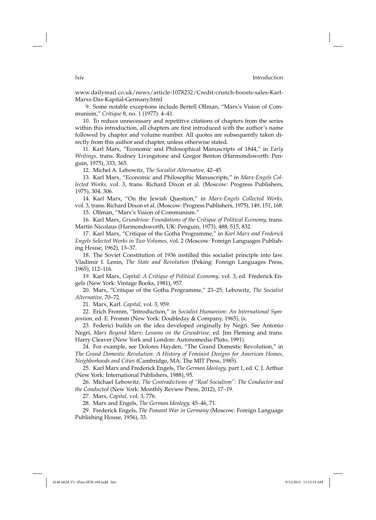www.dailymail.co.uk/news/article-1078232/Credit-crunch-boosts-sales-Karl-Marxs-Das-Kapital-Germany.html

 9 . Some notable exceptions include Bertell Ollman, "Marx's Vision of Communism," *Critique* 8, no. 1 (1977): 4–41.

 10 . To reduce unnecessary and repetitive citations of chapters from the series within this introduction, all chapters are first introduced with the author's name followed by chapter and volume number. All quotes are subsequently taken directly from this author and chapter, unless otherwise stated.

 11 . Karl Marx, "Economic and Philosophical Manuscripts of 1844," in *Early Writings,* trans. Rodney Livingstone and Gregor Benton (Harmondsworth: Penguin, 1975), 333, 365.

12 . Michel A. Lebowitz, *The Socialist Alternative,* 42–45.

 13 . Karl Marx, "Economic and Philosophic Manuscripts," in *Marx-Engels Collected Works,* vol. 3, trans. Richard Dixon et al. (Moscow: Progress Publishers, 1975), 304, 306.

 14 . Karl Marx, "On the Jewish Question," in *Marx-Engels Collected Works,* vol. 3, trans. Richard Dixon et al. (Moscow: Progress Publishers, 1975), 149, 151, 168.

15 . Ollman, "Marx's Vision of Communism."

 16 . Karl Marx, *Grundrisse: Foundations of the Critique of Political Economy,* trans. Martin Nicolaus (Harmondsworth, UK: Penguin, 1973), 488, 515, 832.

 17 . Karl Marx, "Critique of the Gotha Programme," in *Karl Marx and Frederick Engels Selected Works in Two Volumes,* vol. 2 (Moscow: Foreign Languages Publishing House, 1962), 13–37.

 18 . The Soviet Constitution of 1936 instilled this socialist principle into law. Vladimir I. Lenin, *The State and Revolution* (Peking: Foreign Languages Press, 1965), 112–116.

 19 . Karl Marx, *Capital: A Critique of Political Economy,* vol. 3, ed. Frederick Engels (New York: Vintage Books, 1981), 957.

 20 . Marx, "Critique of the Gotha Programme," 23–25; Lebowitz, *The Socialist Alternative,* 70–72.

21 . Marx, Karl. *Capital,* vol. 3, 959.

 22 . Erich Fromm, "Introduction," in *Socialist Humanism: An International Symposium,* ed. E. Fromm (New York: Doubleday & Company, 1965), ix.

 23 . Federici builds on the idea developed originally by Negri. See Antonio Negri, *Marx Beyond Marx: Lessons on the Grundrisse,* ed. Jim Fleming and trans. Harry Cleaver (New York and London: Autonomedia-Pluto, 1991).

 24 . For example, see Dolores Hayden, "The Grand Domestic Revolution," in *The Grand Domestic Revolution: A History of Feminist Designs for American Homes, Neighborhoods and Cities* (Cambridge, MA: The MIT Press, 1985).

 25 . Karl Marx and Frederick Engels, *The German Ideology,* part 1, ed. C. J. Arthur (New York: International Publishers, 1988), 95.

 26 . Michael Lebowitz, *The Contradictions of "Real Socialism": The Conductor and the Conducted* (New York: Monthly Review Press, 2012), 17–19.

27 . Marx, *Capital,* vol. 3, 776.

28 . Marx and Engels, *The German Ideology,* 45–46, 71.

 29 . Frederick Engels, *The Peasant War in Germany* (Moscow: Foreign Language Publishing House, 1956), 33.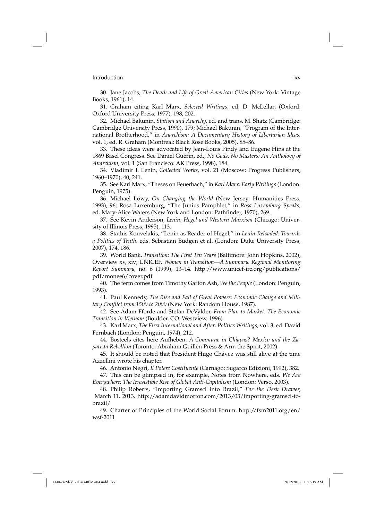#### **Introduction** lxv

 30 . Jane Jacobs, *The Death and Life of Great American Cities* (New York: Vintage Books, 1961), 14.

 31 . Graham citing Karl Marx, *Selected Writings,* ed. D. McLellan (Oxford: Oxford University Press, 1977), 198, 202.

 32 . Michael Bakunin, *Statism and Anarchy,* ed. and trans. M. Shatz (Cambridge: Cambridge University Press, 1990), 179; Michael Bakunin, "Program of the International Brotherhood," in *Anarchism: A Documentary History of Libertarian Ideas,* vol. 1, ed. R. Graham (Montreal: Black Rose Books, 2005), 85–86.

 33 . These ideas were advocated by Jean-Louis Pindy and Eugene Hins at the 1869 Basel Congress. See Daniel Guérin, ed., *No Gods, No Masters: An Anthology of Anarchism,* vol. 1 (San Francisco: AK Press, 1998), 184.

 34 . Vladimir I. Lenin, *Collected Works,* vol. 21 (Moscow: Progress Publishers, 1960–1970), 40, 241.

 35 . See Karl Marx, "Theses on Feuerbach," in *Karl Marx: Early Writings* (London: Penguin, 1975).

 36 . Michael Löwy, *On Changing the World* (New Jersey: Humanities Press, 1993), 96; Rosa Luxemburg, "The Junius Pamphlet," in *Rosa Luxemburg Speaks,* ed. Mary-Alice Waters (New York and London: Pathfinder, 1970), 269.

 37 . See Kevin Anderson, *Lenin, Hegel and Western Marxism* (Chicago: University of Illinois Press, 1995), 113.

 38 . Stathis Kouvelakis, "Lenin as Reader of Hegel," in *Lenin Reloaded: Towards a Politics of Truth,* eds. Sebastian Budgen et al. (London: Duke University Press, 2007), 174, 186.

 39 . World Bank, *Transition: The First Ten Years* (Baltimore: John Hopkins, 2002), Overview xv, xiv; UNICEF, *Women in Transition—A Summary. Regional Monitoring Report Summary,* no. 6 (1999), 13–14. http://www.unicef-irc.org/publications/ pdf/monee6/cover.pdf

 40 . The term comes from Timothy Garton Ash, *We the People* (London: Penguin, 1993).

41. Paul Kennedy, The Rise and Fall of Great Powers: Economic Change and Mili*tary Conflict from 1500 to 2000* (New York: Random House, 1987).

 42 . See Adam Fforde and Stefan DeVylder, *From Plan to Market: The Economic Transition in Vietnam* (Boulder, CO: Westview, 1996).

 43 . Karl Marx, *The First International and After: Politics Writings,* vol. 3, ed. David Fernbach (London: Penguin, 1974), 212.

 44 . Bosteels cites here Aufheben, *A Commune in Chiapas? Mexico and the Zapatista Rebellion* (Toronto: Abraham Guillen Press & Arm the Spirit, 2002).

 45 . It should be noted that President Hugo Chávez was still alive at the time Azzellini wrote his chapter.

46 . Antonio Negri, *Il Potere Costituente* (Carnago: Sugarco Edizioni, 1992), 382.

 47 . This can be glimpsed in, for example, Notes from Nowhere, eds. *We Are Everywhere: The Irresistible Rise of Global Anti-Capitalism* (London: Verso, 2003).

 48 . Philip Roberts, "Importing Gramsci into Brazil," *For the Desk Drawer,* March 11, 2013. http://adamdavidmorton.com/2013/03/importing-gramsci-tobrazil/

 49 . Charter of Principles of the World Social Forum. http://fsm2011.org/en/ wsf-2011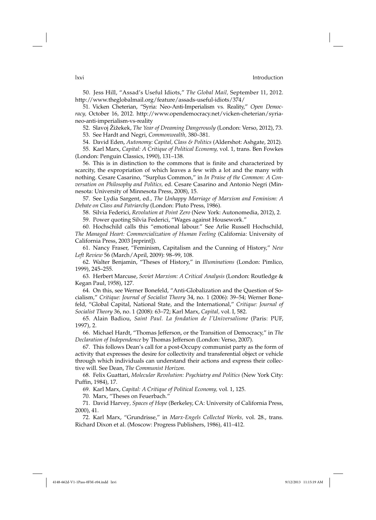50 . Jess Hill, "Assad's Useful Idiots," *The Global Mail,* September 11, 2012. http://www.theglobalmail.org/feature/assads-useful-idiots/374/

 51 . Vicken Cheterian, "Syria: Neo-Anti-Imperialism vs. Reality," *Open Democracy,* October 16, 2012. http://www.opendemocracy.net/vicken-cheterian/syrianeo-anti-imperialism-vs-reality

52 . Slavoj Žižekek, *The Year of Dreaming Dangerously* (London: Verso, 2012), 73.

53 . See Hardt and Negri, *Commonwealth,* 380–381.

54 . David Eden, *Autonomy: Capital, Class & Politics* (Aldershot: Ashgate, 2012).

 55 . Karl Marx, *Capital: A Critique of Political Economy,* vol. 1, trans. Ben Fowkes (London: Penguin Classics, 1990), 131–138.

 56 . This is in distinction to the commons that is finite and characterized by scarcity, the expropriation of which leaves a few with a lot and the many with nothing. Cesare Casarino, "Surplus Common," in *In Praise of the Common: A Conversation on Philosophy and Politics,* ed. Cesare Casarino and Antonio Negri (Minnesota: University of Minnesota Press, 2008), 15.

 57 . See Lydia Sargent, ed., *The Unhappy Marriage of Marxism and Feminism: A Debate on Class and Patriarchy* (London: Pluto Press, 1986).

58 . Silvia Federici, *Revolution at Point Zero* (New York: Autonomedia, 2012), 2.

59. Power quoting Silvia Federici, "Wages against Housework."

 60 . Hochschild calls this "emotional labour." See Arlie Russell Hochschild, *The Managed Heart: Commercialization of Human Feeling* (California: University of California Press, 2003 [reprint]).

 61 . Nancy Fraser, "Feminism, Capitalism and the Cunning of History," *New Left Review* 56 (March/April, 2009): 98–99, 108.

 62 . Walter Benjamin, "Theses of History," in *Illuminations* (London: Pimlico, 1999), 245–255.

 63 . Herbert Marcuse, *Soviet Marxism: A Critical Analysis* (London: Routledge & Kegan Paul, 1958), 127.

 64 . On this, see Werner Bonefeld, "Anti-Globalization and the Question of Socialism," *Critique: Journal of Socialist Theory* 34, no. 1 (2006): 39–54; Werner Bonefeld, "Global Capital, National State, and the International," *Critique: Journal of Socialist Theory* 36, no. 1 (2008): 63–72; Karl Marx, *Capital,* vol. I, 582.

 65 . Alain Badiou, *Saint Paul. La fondation de l'Universalisme* (Paris: PUF, 1997), 2.

 66 . Michael Hardt, "Thomas Jefferson, or the Transition of Democracy," in *The Declaration of Independence* by Thomas Jefferson (London: Verso, 2007).

 67 . This follows Dean's call for a post-Occupy communist party as the form of activity that expresses the desire for collectivity and transferential object or vehicle through which individuals can understand their actions and express their collective will. See Dean, *The Communist Horizon.*

 68 . Felix Guattari, *Molecular Revolution: Psychiatry and Politics* (New York City: Puffin, 1984), 17.

69 . Karl Marx, *Capital: A Critique of Political Economy,* vol. 1, 125.

70. Marx, "Theses on Feuerbach."

71. David Harvey, Spaces of Hope (Berkeley, CA: University of California Press, 2000), 41.

 72 . Karl Marx, "Grundrisse," in *Marx-Engels Collected Works,* vol. 28., trans. Richard Dixon et al. (Moscow: Progress Publishers, 1986), 411–412.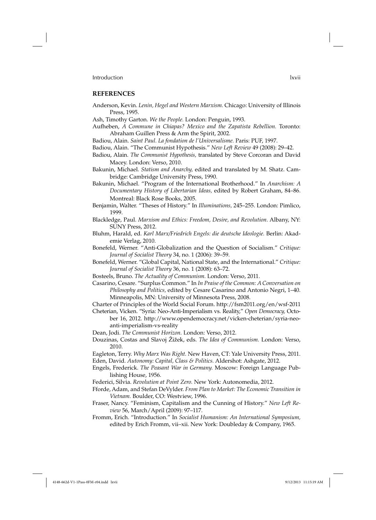**Introduction** law is a set of the set of the set of the set of the set of the set of the set of the set of the set of the set of the set of the set of the set of the set of the set of the set of the set of the set of the

#### **REFERENCES**

- Anderson, Kevin. *Lenin, Hegel and Western Marxism.* Chicago: University of Illinois Press, 1995.
- Ash, Timothy Garton. *We the People.* London: Penguin, 1993.
- Aufheben, *A Commune in Chiapas? Mexico and the Zapatista Rebellion.* Toronto: Abraham Guillen Press & Arm the Spirit, 2002.
- Badiou, Alain. *Saint Paul. La fondation de l'Universalisme.* Paris: PUF, 1997.
- Badiou, Alain. "The Communist Hypothesis." *New Left Review* 49 (2008): 29–42.
- Badiou, Alain. *The Communist Hypothesis,* translated by Steve Corcoran and David Macey. London: Verso, 2010.
- Bakunin, Michael. *Statism and Anarchy,* edited and translated by M. Shatz. Cambridge: Cambridge University Press, 1990.
- Bakunin, Michael. "Program of the International Brotherhood." In *Anarchism: A Documentary History of Libertarian Ideas,* edited by Robert Graham, 84–86. Montreal: Black Rose Books, 2005.
- Benjamin, Walter. "Theses of History." In *Illuminations,* 245–255. London: Pimlico, 1999.
- Blackledge, Paul. *Marxism and Ethics: Freedom, Desire, and Revolution.* Albany, NY: SUNY Press, 2012.
- Bluhm, Harald, ed. *Karl Marx/Friedrich Engels: die deutsche Ideologie.* Berlin: Akademie Verlag, 2010.
- Bonefeld, Werner. "Anti-Globalization and the Question of Socialism." *Critique: Journal of Socialist Theory* 34, no. 1 (2006): 39–59.
- Bonefeld, Werner. "Global Capital, National State, and the International." *Critique: Journal of Socialist Theory* 36, no. 1 (2008): 63–72.
- Bosteels, Bruno. *The Actuality of Communism.* London: Verso, 2011.

 Casarino, Cesare. "Surplus Common." In *In Praise of the Common: A Conversation on Philosophy and Politics,* edited by Cesare Casarino and Antonio Negri, 1–40. Minneapolis, MN: University of Minnesota Press, 2008.

- Charter of Principles of the World Social Forum. http://fsm2011.org/en/wsf-2011
- Cheterian, Vicken. "Syria: Neo-Anti-Imperialism vs. Reality," *Open Democracy,* October 16, 2012. http://www.opendemocracy.net/vicken-cheterian/syria-neoanti-imperialism-vs-reality
- Dean, Jodi. *The Communist Horizon.* London: Verso, 2012.
- Douzinas, Costas and Slavoj Žižek, eds. *The Idea of Communism.* London: Verso, 2010.

 Eagleton, Terry. *Why Marx Was Right.* New Haven, CT: Yale University Press, 2011. Eden, David. *Autonomy: Capital, Class & Politics.* Aldershot: Ashgate, 2012.

- Engels, Frederick. *The Peasant War in Germany.* Moscow: Foreign Language Publishing House, 1956.
- Federici, Silvia. *Revolution at Point Zero.* New York: Autonomedia, 2012.
- Fforde, Adam, and Stefan DeVylder. *From Plan to Market: The Economic Transition in Vietnam.* Boulder, CO: Westview, 1996.
- Fraser, Nancy. "Feminism, Capitalism and the Cunning of History." *New Left Review* 56, March/April (2009): 97–117.
- Fromm, Erich. "Introduction." In *Socialist Humanism: An International Symposium,* edited by Erich Fromm, vii–xii. New York: Doubleday & Company, 1965.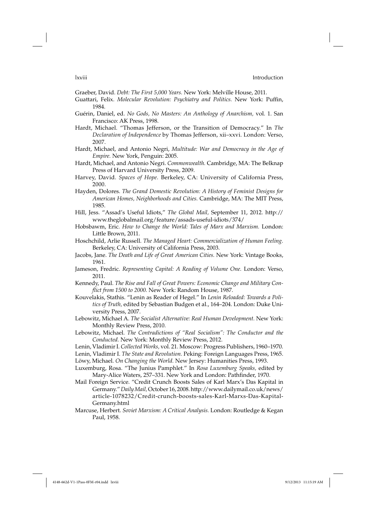#### lxviii Introduction

Graeber, David. *Debt: The First 5,000 Years.* New York: Melville House, 2011.

- Guattari, Felix. *Molecular Revolution: Psychiatry and Politics.* New York: Puffin, 1984.
- Guérin, Daniel, ed. *No Gods, No Masters: An Anthology of Anarchism,* vol. 1. San Francisco: AK Press, 1998.
- Hardt, Michael. "Thomas Jefferson, or the Transition of Democracy." In *The Declaration of Independence* by Thomas Jefferson, xii–xxvi. London: Verso, 2007.
- Hardt, Michael, and Antonio Negri, *Multitude: War and Democracy in the Age of Empire.* New York, Penguin: 2005.
- Hardt, Michael, and Antonio Negri. *Commonwealth.* Cambridge, MA: The Belknap Press of Harvard University Press, 2009.
- Harvey, David. *Spaces of Hope.* Berkeley, CA: University of California Press, 2000.
- Hayden, Dolores. *The Grand Domestic Revolution: A History of Feminist Designs for American Homes, Neighborhoods and Cities.* Cambridge, MA: The MIT Press, 1985.
- Hill, Jess. "Assad's Useful Idiots," *The Global Mail,* September 11, 2012. http:// www.theglobalmail.org/feature/assads-useful-idiots/374/
- Hobsbawm, Eric. *How to Change the World: Tales of Marx and Marxism.* London: Little Brown, 2011.
- Hoschchild, Arlie Russell. *The Managed Heart: Commercialization of Human Feeling.* Berkeley, CA: University of California Press, 2003.
- Jacobs, Jane. *The Death and Life of Great American Cities.* New York: Vintage Books, 1961.
- Jameson, Fredric. *Representing Capital: A Reading of Volume One.* London: Verso, 2011.
- Kennedy, Paul. *The Rise and Fall of Great Powers: Economic Change and Military Conflict from 1500 to 2000.* New York: Random House, 1987.
- Kouvelakis, Stathis. "Lenin as Reader of Hegel." In *Lenin Reloaded: Towards a Politics of Truth,* edited by Sebastian Budgen et al., 164–204. London: Duke University Press, 2007.
- Lebowitz, Michael A. *The Socialist Alternative: Real Human Development.* New York: Monthly Review Press, 2010.
- Lebowitz, Michael. *The Contradictions of "Real Socialism": The Conductor and the Conducted.* New York: Monthly Review Press, 2012.
- Lenin, Vladimir I. *Collected Works,* vol. 21. Moscow: Progress Publishers, 1960–1970.
- Lenin, Vladimir I. *The State and Revolution.* Peking: Foreign Languages Press, 1965. Löwy, Michael. *On Changing the World.* New Jersey: Humanities Press, 1993.
- Luxemburg, Rosa. "The Junius Pamphlet." In *Rosa Luxemburg Speaks,* edited by Mary-Alice Waters, 257–331. New York and London: Pathfinder, 1970.
- Mail Foreign Service. "Credit Crunch Boosts Sales of Karl Marx's Das Kapital in Germany." *Daily Mail,* October 16, 2008. http://www.dailymail.co.uk/news/ article-1078232/Credit-crunch-boosts-sales-Karl-Marxs-Das-Kapital-Germany.html
- Marcuse, Herbert. *Soviet Marxism: A Critical Analysis.* London: Routledge & Kegan Paul, 1958.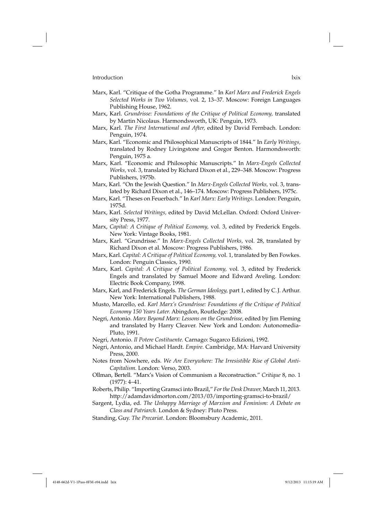#### **Introduction** lxix

- Marx, Karl. "Critique of the Gotha Programme." In *Karl Marx and Frederick Engels Selected Works in Two Volumes,* vol. 2, 13–37. Moscow: Foreign Languages Publishing House, 1962.
- Marx, Karl. *Grundrisse: Foundations of the Critique of Political Economy,* translated by Martin Nicolaus. Harmondsworth, UK: Penguin, 1973.
- Marx, Karl. *The First International and After,* edited by David Fernbach. London: Penguin, 1974.
- Marx, Karl. "Economic and Philosophical Manuscripts of 1844." In *Early Writings,* translated by Rodney Livingstone and Gregor Benton. Harmondsworth: Penguin, 1975 a.
- Marx, Karl. "Economic and Philosophic Manuscripts." In *Marx-Engels Collected Works,* vol. 3, translated by Richard Dixon et al., 229–348. Moscow: Progress Publishers, 1975b.
- Marx, Karl. "On the Jewish Question." In *Marx-Engels Collected Works,* vol. 3, translated by Richard Dixon et al., 146–174. Moscow: Progress Publishers, 1975c.
- Marx, Karl. "Theses on Feuerbach." In *Karl Marx: Early Writings.* London: Penguin, 1975d.
- Marx, Karl. *Selected Writings,* edited by David McLellan. Oxford: Oxford University Press, 1977.
- Marx, *Capital: A Critique of Political Economy,* vol. 3, edited by Frederick Engels. New York: Vintage Books, 1981.
- Marx, Karl. "Grundrisse." In *Marx-Engels Collected Works,* vol. 28, translated by Richard Dixon et al. Moscow: Progress Publishers, 1986.
- Marx, Karl. *Capital: A Critique of Political Economy,* vol. 1, translated by Ben Fowkes. London: Penguin Classics, 1990.
- Marx, Karl. *Capital: A Critique of Political Economy,* vol. 3, edited by Frederick Engels and translated by Samuel Moore and Edward Aveling. London: Electric Book Company, 1998.
- Marx, Karl, and Frederick Engels. *The German Ideology,* part 1, edited by C. J. Arthur. New York: International Publishers, 1988.
- Musto, Marcello, ed. *Karl Marx's Grundrisse: Foundations of the Critique of Political Economy 150 Years Later.* Abingdon, Routledge: 2008.
- Negri, Antonio. *Marx Beyond Marx: Lessons on the Grundrisse,* edited by Jim Fleming and translated by Harry Cleaver. New York and London: Autonomedia-Pluto, 1991.
- Negri, Antonio. *Il Potere Costituente.* Carnago: Sugarco Edizioni, 1992.
- Negri, Antonio, and Michael Hardt. *Empire.* Cambridge, MA: Harvard University Press, 2000.
- Notes from Nowhere, eds. *We Are Everywhere: The Irresistible Rise of Global Anti-Capitalism.* London: Verso, 2003.
- Ollman, Bertell. "Marx's Vision of Communism a Reconstruction." *Critique* 8, no. 1 (1977): 4–41.
- Roberts, Philip. "Importing Gramsci into Brazil," *For the Desk Drawer,* March 11, 2013. http://adamdavidmorton.com/2013/03/importing-gramsci-to-brazil/
- Sargent, Lydia, ed. *The Unhappy Marriage of Marxism and Feminism: A Debate on Class and Patriarch.* London & Sydney: Pluto Press.

Standing, Guy. *The Precariat.* London: Bloomsbury Academic, 2011.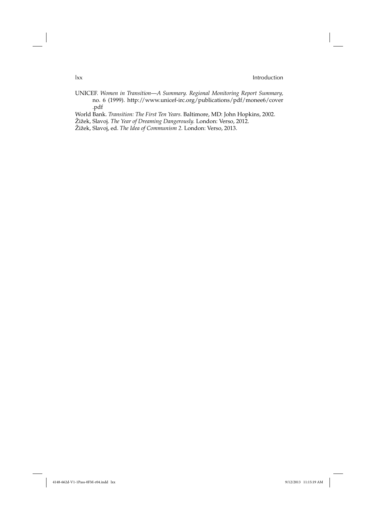### lxx Introduction

 UNICEF. *Women in Transition* — *A Summary. Regional Monitoring Report Summary,* no. 6 (1999). http://www.unicef-irc.org/publications/pdf/monee6/cover .pdf

 World Bank. *Transition: The First Ten Years.* Baltimore, MD: John Hopkins, 2002. Žižek, Slavoj. *The Year of Dreaming Dangerously.* London: Verso, 2012. Žižek, Slavoj, ed. *The Idea of Communism 2.* London: Verso, 2013.